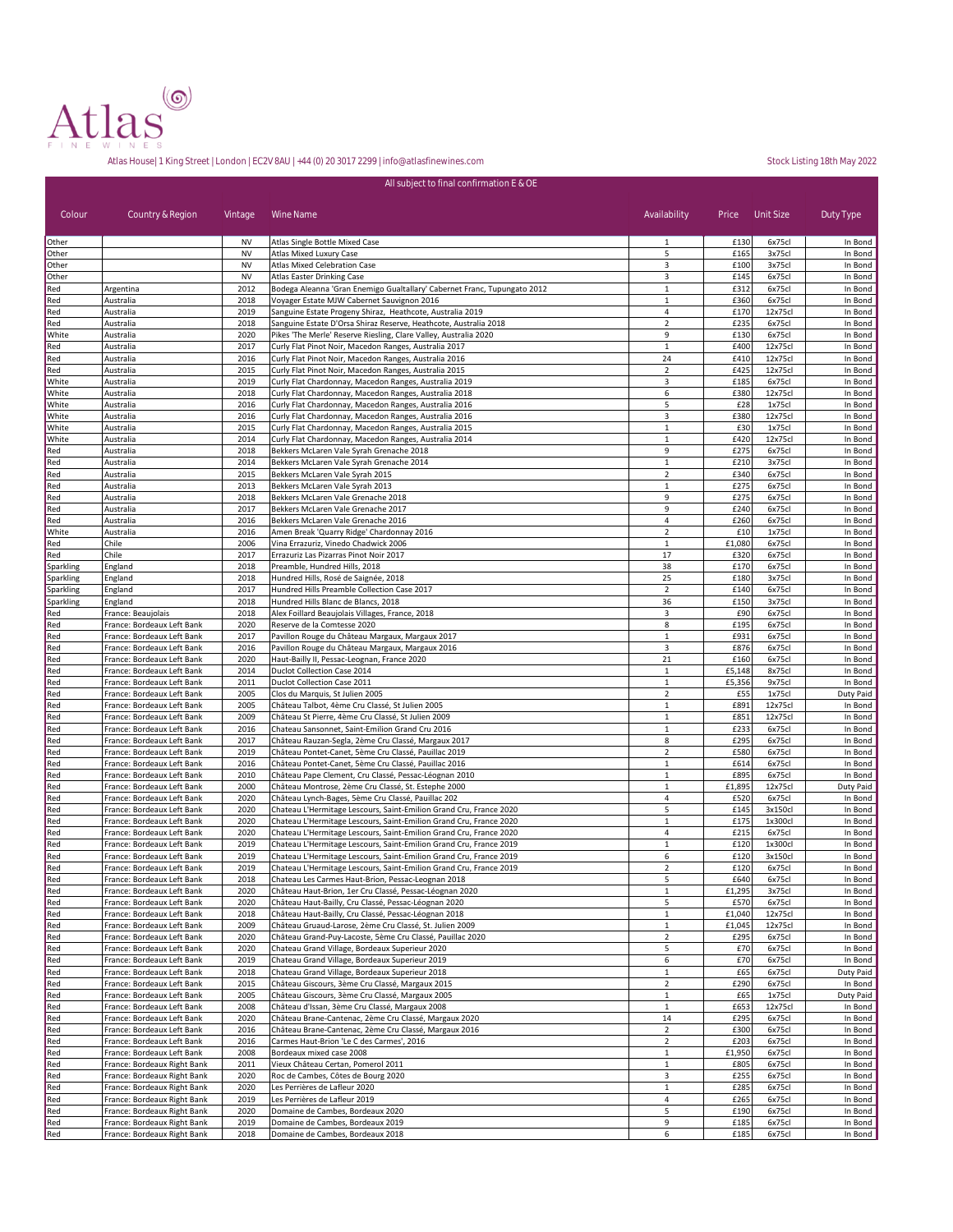

|                        |                                                            |                        | All subject to final confirmation E & OE                                                                                                 |                                |                |                    |                      |
|------------------------|------------------------------------------------------------|------------------------|------------------------------------------------------------------------------------------------------------------------------------------|--------------------------------|----------------|--------------------|----------------------|
| Colour                 | Country & Region                                           | Vintage                | Wine Name                                                                                                                                | Availability                   | Price          | Unit Size          | Duty Type            |
| Other                  |                                                            | <b>NV</b>              | Atlas Single Bottle Mixed Case                                                                                                           | 1                              | £130           | 6x75cl             | In Bond              |
| Other<br>Other         |                                                            | <b>NV</b><br><b>NV</b> | Atlas Mixed Luxury Case<br>Atlas Mixed Celebration Case                                                                                  | 5<br>3                         | £165<br>£100   | 3x75cl<br>3x75cl   | In Bond<br>In Bond   |
| Other                  |                                                            | <b>NV</b>              | Atlas Easter Drinking Case                                                                                                               | 3                              | £145           | 6x75cl             | In Bond              |
| Red                    | Argentina                                                  | 2012                   | Bodega Aleanna 'Gran Enemigo Gualtallary' Cabernet Franc, Tupungato 2012                                                                 | $\mathbf{1}$                   | £312           | 6x75cl             | In Bond              |
| Red<br>Red             | Australia<br>Australia                                     | 2018<br>2019           | Voyager Estate MJW Cabernet Sauvignon 2016<br>Sanguine Estate Progeny Shiraz, Heathcote, Australia 2019                                  | $\mathbf{1}$<br>4              | £360<br>£170   | 6x75cl<br>12x75cl  | In Bond<br>In Bond   |
| Red                    | Australia                                                  | 2018                   | Sanguine Estate D'Orsa Shiraz Reserve, Heathcote, Australia 2018                                                                         | $\overline{2}$                 | £235           | 6x75cl             | In Bond              |
| White                  | Australia                                                  | 2020                   | Pikes 'The Merle' Reserve Riesling, Clare Valley, Australia 2020                                                                         | 9                              | £130           | 6x75cl             | In Bond              |
| Red                    | Australia                                                  | 2017                   | Curly Flat Pinot Noir, Macedon Ranges, Australia 2017                                                                                    | $\mathbf{1}$                   | £400           | 12x75cl            | In Bond              |
| Red<br>Red             | Australia<br>Australia                                     | 2016<br>2015           | Curly Flat Pinot Noir, Macedon Ranges, Australia 2016<br>Curly Flat Pinot Noir, Macedon Ranges, Australia 2015                           | 24<br>$\overline{2}$           | £410<br>£425   | 12x75cl<br>12x75cl | In Bond<br>In Bond   |
| White                  | Australia                                                  | 2019                   | Curly Flat Chardonnay, Macedon Ranges, Australia 2019                                                                                    | 3                              | £185           | 6x75cl             | In Bond              |
| White                  | Australia                                                  | 2018                   | Curly Flat Chardonnay, Macedon Ranges, Australia 2018                                                                                    | 6                              | £380           | 12x75cl            | In Bond              |
| White<br>White         | Australia<br>Australia                                     | 2016<br>2016           | Curly Flat Chardonnay, Macedon Ranges, Australia 2016                                                                                    | 5<br>3                         | £28<br>£380    | 1x75cl<br>12x75cl  | In Bond<br>In Bond   |
| White                  | Australia                                                  | 2015                   | Curly Flat Chardonnay, Macedon Ranges, Australia 2016<br>Curly Flat Chardonnay, Macedon Ranges, Australia 2015                           | $1\,$                          | £30            | 1x75cl             | In Bond              |
| White                  | Australia                                                  | 2014                   | Curly Flat Chardonnay, Macedon Ranges, Australia 2014                                                                                    | $1\,$                          | £420           | 12x75cl            | In Bond              |
| Red                    | Australia                                                  | 2018                   | Bekkers McLaren Vale Syrah Grenache 2018                                                                                                 | 9                              | £275           | 6x75cl             | In Bond              |
| Red<br>Red             | Australia<br>Australia                                     | 2014<br>2015           | Bekkers McLaren Vale Syrah Grenache 2014<br>Bekkers McLaren Vale Syrah 2015                                                              | $\,1\,$<br>$\overline{2}$      | £210<br>£340   | 3x75cl<br>6x75cl   | In Bond<br>In Bond   |
| Red                    | Australia                                                  | 2013                   | Bekkers McLaren Vale Syrah 2013                                                                                                          | $\mathbf{1}$                   | £275           | 6x75cl             | In Bond              |
| Red                    | Australia                                                  | 2018                   | Bekkers McLaren Vale Grenache 2018                                                                                                       | 9                              | £275           | 6x75cl             | In Bond              |
| Red                    | Australia                                                  | 2017                   | Bekkers McLaren Vale Grenache 2017                                                                                                       | 9                              | £240           | 6x75cl             | In Bond              |
| Red<br>White           | Australia<br>Australia                                     | 2016<br>2016           | Bekkers McLaren Vale Grenache 2016<br>Amen Break 'Quarry Ridge' Chardonnay 2016                                                          | 4<br>$\mathbf 2$               | £260<br>£10    | 6x75cl<br>1x75cl   | In Bond<br>In Bond   |
| Red                    | Chile                                                      | 2006                   | Vina Errazuriz, Vinedo Chadwick 2006                                                                                                     | 1                              | £1,080         | 6x75cl             | In Bond              |
| Red                    | Chile                                                      | 2017                   | Errazuriz Las Pizarras Pinot Noir 2017                                                                                                   | 17                             | £320           | 6x75cl             | In Bond              |
| Sparkling              | England                                                    | 2018                   | Preamble, Hundred Hills, 2018                                                                                                            | 38                             | £170           | 6x75cl             | In Bond              |
| Sparkling<br>Sparkling | England<br>England                                         | 2018<br>2017           | Hundred Hills, Rosé de Saignée, 2018<br>Hundred Hills Preamble Collection Case 2017                                                      | 25<br>$\overline{2}$           | £180<br>£140   | 3x75cl<br>6x75cl   | In Bond<br>In Bond   |
| Sparkling              | England                                                    | 2018                   | Hundred Hills Blanc de Blancs, 2018                                                                                                      | 36                             | £150           | 3x75cl             | In Bond              |
| Red                    | France: Beaujolais                                         | 2018                   | Alex Foillard Beaujolais Villages, France, 2018                                                                                          | 3                              | £90            | 6x75cl             | In Bond              |
| Red                    | France: Bordeaux Left Bank                                 | 2020<br>2017           | Reserve de la Comtesse 2020                                                                                                              | 8                              | £195<br>£931   | 6x75cl             | In Bond              |
| Red<br>Red             | France: Bordeaux Left Bank<br>France: Bordeaux Left Bank   | 2016                   | Pavillon Rouge du Château Margaux, Margaux 2017<br>Pavillon Rouge du Château Margaux, Margaux 2016                                       | $1\,$<br>3                     | £876           | 6x75cl<br>6x75cl   | In Bond<br>In Bond   |
| Red                    | France: Bordeaux Left Bank                                 | 2020                   | Haut-Bailly II, Pessac-Leognan, France 2020                                                                                              | 21                             | £160           | 6x75cl             | In Bond              |
| Red                    | France: Bordeaux Left Bank                                 | 2014                   | Duclot Collection Case 2014                                                                                                              | 1                              | £5,148         | 8x75cl             | In Bond              |
| Red<br>Red             | France: Bordeaux Left Bank<br>France: Bordeaux Left Bank   | 2011<br>2005           | Duclot Collection Case 2011<br>Clos du Marquis, St Julien 2005                                                                           | $\mathbf{1}$<br>$\overline{2}$ | £5,356<br>£55  | 9x75cl<br>1x75cl   | In Bond<br>Duty Paid |
| Red                    | France: Bordeaux Left Bank                                 | 2005                   | Château Talbot, 4ème Cru Classé, St Julien 2005                                                                                          | $1\,$                          | £891           | 12x75cl            | In Bond              |
| Red                    | France: Bordeaux Left Bank                                 | 2009                   | Château St Pierre, 4ème Cru Classé, St Julien 2009                                                                                       | $1\,$                          | £851           | 12x75cl            | In Bond              |
| Red                    | France: Bordeaux Left Bank                                 | 2016                   | Chateau Sansonnet, Saint-Emilion Grand Cru 2016                                                                                          | $1\,$                          | £233           | 6x75cl             | In Bond              |
| Red<br>Red             | France: Bordeaux Left Bank<br>France: Bordeaux Left Bank   | 2017<br>2019           | Château Rauzan-Segla, 2ème Cru Classé, Margaux 2017<br>Château Pontet-Canet, 5ème Cru Classé, Pauillac 2019                              | 8<br>$\overline{2}$            | £295<br>£580   | 6x75cl<br>6x75cl   | In Bond<br>In Bond   |
| Red                    | France: Bordeaux Left Bank                                 | 2016                   | Château Pontet-Canet, 5ème Cru Classé, Pauillac 2016                                                                                     | $1\,$                          | £614           | 6x75cl             | In Bond              |
| Red                    | France: Bordeaux Left Bank                                 | 2010                   | Château Pape Clement, Cru Classé, Pessac-Léognan 2010                                                                                    | $\mathbf{1}$                   | £895           | 6x75cl             | In Bond              |
| Red                    | France: Bordeaux Left Bank                                 | 2000                   | Château Montrose, 2ème Cru Classé, St. Estephe 2000                                                                                      | 1                              | £1,895         | 12x75cl            | Duty Paid            |
| Red<br>Red             | France: Bordeaux Left Bank<br>France: Bordeaux Left Bank   | 2020<br>2020           | Château Lynch-Bages, 5ème Cru Classé, Pauillac 202<br>Chateau L'Hermitage Lescours, Saint-Emilion Grand Cru, France 2020                 | 4<br>5                         | £520<br>£145   | 6x75cl<br>3x150cl  | In Bond<br>In Bond   |
| Red                    | France: Bordeaux Left Bank                                 | 2020                   | Chateau L'Hermitage Lescours, Saint-Emilion Grand Cru, France 2020                                                                       | $1\,$                          | £175           | 1x300cl            | In Bond              |
| Red                    | France: Bordeaux Left Bank                                 | 2020                   | Chateau L'Hermitage Lescours, Saint-Emilion Grand Cru, France 2020                                                                       | 4                              | £215           | 6x75cl             | In Bond              |
| Red<br>Red             | France: Bordeaux Left Bank<br>France: Bordeaux Left Bank   | 2019<br>2019           | Chateau L'Hermitage Lescours, Saint-Emilion Grand Cru, France 2019<br>Chateau L'Hermitage Lescours, Saint-Emilion Grand Cru, France 2019 | $\mathbf{1}$<br>6              | £120<br>£120   | 1x300cl<br>3x150cl | In Bond<br>In Bond   |
| Red                    | France: Bordeaux Left Bank                                 | 2019                   | Chateau L'Hermitage Lescours, Saint-Emilion Grand Cru, France 2019                                                                       | $\overline{2}$                 | £120           | 6x75cl             | In Bond              |
| Red                    | France: Bordeaux Left Bank                                 | 2018                   | Chateau Les Carmes Haut-Brion, Pessac-Leognan 2018                                                                                       | 5                              | £640           | 6x75cl             | In Bond              |
| Red                    | France: Bordeaux Left Bank                                 | 2020                   | Château Haut-Brion, 1er Cru Classé, Pessac-Léognan 2020                                                                                  | $\mathbf 1$                    | £1,295         | 3x75cl             | In Bond              |
| Red<br>Red             | France: Bordeaux Left Bank<br>France: Bordeaux Left Bank   | 2020<br>2018           | Château Haut-Bailly, Cru Classé, Pessac-Léognan 2020<br>Château Haut-Bailly, Cru Classé, Pessac-Léognan 2018                             | 5<br>$\mathbf{1}$              | £570<br>£1,040 | 6x75cl<br>12x75cl  | In Bond<br>In Bond   |
| Red                    | France: Bordeaux Left Bank                                 | 2009                   | Château Gruaud-Larose, 2ème Cru Classé, St. Julien 2009                                                                                  | $\mathbf 1$                    | £1,045         | 12x75cl            | In Bond              |
| Red                    | France: Bordeaux Left Bank                                 | 2020                   | Château Grand-Puy-Lacoste, 5ème Cru Classé, Pauillac 2020                                                                                | $\overline{2}$                 | £295           | 6x75cl             | In Bond              |
| Red<br>Red             | France: Bordeaux Left Bank<br>France: Bordeaux Left Bank   | 2020<br>2019           | Chateau Grand Village, Bordeaux Superieur 2020                                                                                           | 5<br>6                         | £70<br>£70     | 6x75cl<br>6x75cl   | In Bond<br>In Bond   |
| Red                    | France: Bordeaux Left Bank                                 | 2018                   | Chateau Grand Village, Bordeaux Superieur 2019<br>Chateau Grand Village, Bordeaux Superieur 2018                                         | $\mathbf 1$                    | £65            | 6x75cl             | Duty Paid            |
| Red                    | France: Bordeaux Left Bank                                 | 2015                   | Château Giscours, 3ème Cru Classé, Margaux 2015                                                                                          | $\overline{2}$                 | £290           | 6x75cl             | In Bond              |
| Red                    | France: Bordeaux Left Bank                                 | 2005                   | Château Giscours, 3ème Cru Classé, Margaux 2005                                                                                          | 1                              | £65            | 1x75cl             | Duty Paid            |
| Red<br>Red             | France: Bordeaux Left Bank<br>France: Bordeaux Left Bank   | 2008<br>2020           | Château d'Issan, 3ème Cru Classé, Margaux 2008<br>Château Brane-Cantenac, 2ème Cru Classé, Margaux 2020                                  | $1\,$<br>14                    | £653<br>£295   | 12x75cl<br>6x75cl  | In Bond<br>In Bond   |
| Red                    | France: Bordeaux Left Bank                                 | 2016                   | Château Brane-Cantenac, 2ème Cru Classé, Margaux 2016                                                                                    | $\overline{2}$                 | £300           | 6x75cl             | In Bond              |
| Red                    | France: Bordeaux Left Bank                                 | 2016                   | Carmes Haut-Brion 'Le C des Carmes', 2016                                                                                                | $\mathbf 2$                    | £203           | 6x75cl             | In Bond              |
| Red                    | France: Bordeaux Left Bank                                 | 2008                   | Bordeaux mixed case 2008                                                                                                                 | $1\,$                          | £1,950         | 6x75cl             | In Bond              |
| Red                    | France: Bordeaux Right Bank                                | 2011                   | Vieux Château Certan, Pomerol 2011                                                                                                       | $\,1\,$                        | £805           | 6x75cl             | In Bond              |
| Red<br>Red             | France: Bordeaux Right Bank<br>France: Bordeaux Right Bank | 2020<br>2020           | Roc de Cambes, Côtes de Bourg 2020<br>Les Perrières de Lafleur 2020                                                                      | 3<br>1                         | £255<br>£285   | 6x75cl<br>6x75cl   | In Bond<br>In Bond   |
| Red                    | France: Bordeaux Right Bank                                | 2019                   | Les Perrières de Lafleur 2019                                                                                                            | 4                              | £265           | 6x75cl             | In Bond              |
| Red                    | France: Bordeaux Right Bank                                | 2020                   | Domaine de Cambes, Bordeaux 2020                                                                                                         | 5                              | £190           | 6x75cl             | In Bond              |
| Red                    | France: Bordeaux Right Bank                                | 2019                   | Domaine de Cambes, Bordeaux 2019                                                                                                         | 9                              | £185           | 6x75cl             | In Bond              |
| Red                    | France: Bordeaux Right Bank                                | 2018                   | Domaine de Cambes, Bordeaux 2018                                                                                                         | 6                              | £185           | 6x75cl             | In Bond              |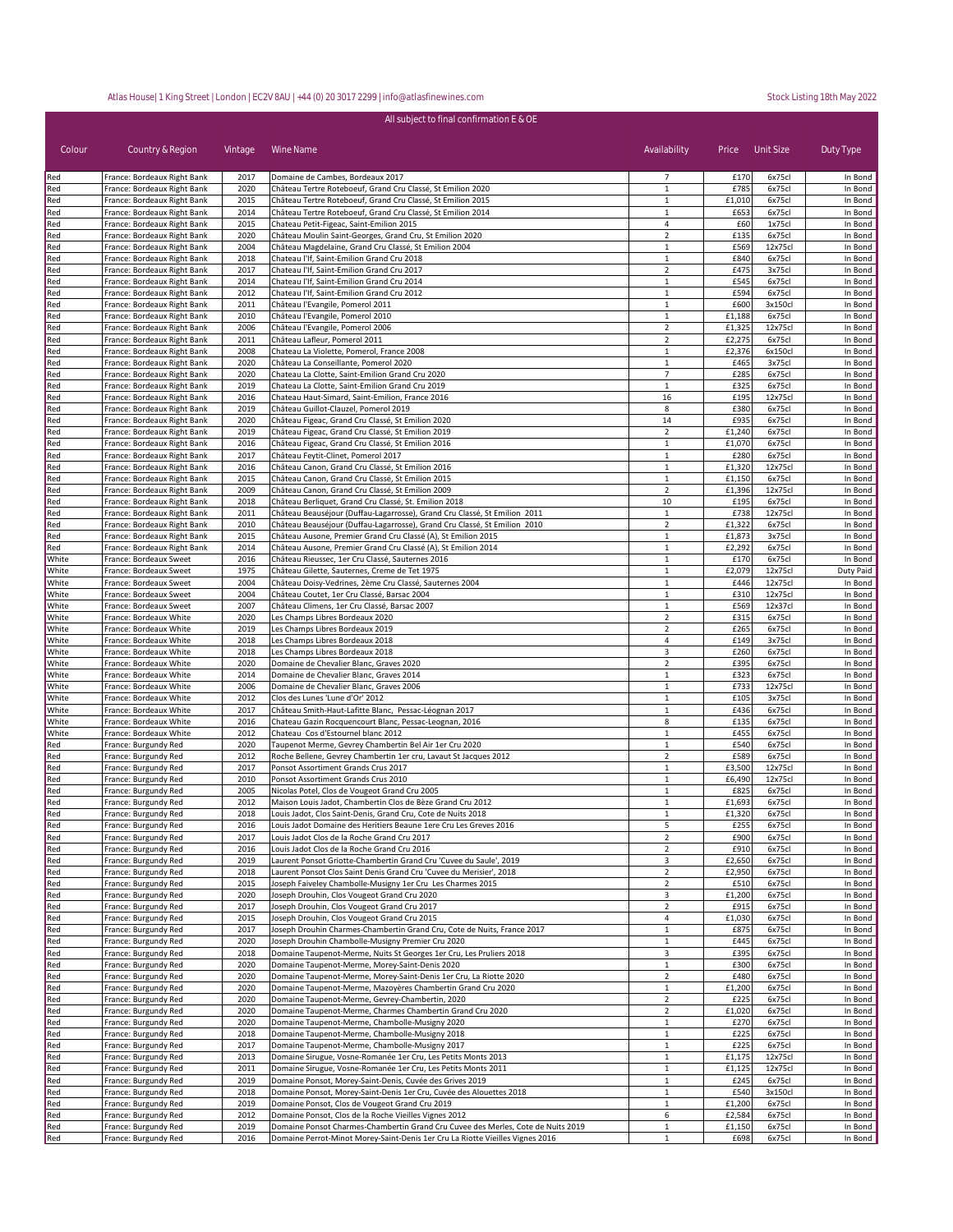| All subject to final confirmation E & OE |                                                            |              |                                                                                                                |                                |                  |                    |                    |
|------------------------------------------|------------------------------------------------------------|--------------|----------------------------------------------------------------------------------------------------------------|--------------------------------|------------------|--------------------|--------------------|
| Colour                                   | Country & Region                                           | Vintage      | Wine Name                                                                                                      | Availability                   | Price            | Unit Size          | Duty Type          |
| Red                                      | France: Bordeaux Right Bank                                | 2017         | Domaine de Cambes, Bordeaux 2017                                                                               | 7                              | £170             | 6x75cl             | In Bond            |
| Red                                      | France: Bordeaux Right Bank                                | 2020         | Château Tertre Roteboeuf, Grand Cru Classé, St Emilion 2020                                                    | 1                              | £785             | 6x75cl             | In Bond            |
| Red                                      | France: Bordeaux Right Bank                                | 2015         | Château Tertre Roteboeuf, Grand Cru Classé, St Emilion 2015                                                    | 1                              | £1,010           | 6x75cl             | In Bond            |
| Red<br>Red                               | France: Bordeaux Right Bank<br>France: Bordeaux Right Bank | 2014<br>2015 | Château Tertre Roteboeuf, Grand Cru Classé, St Emilion 2014<br>Chateau Petit-Figeac, Saint-Emilion 2015        | 1<br>$\overline{4}$            | £653<br>£60      | 6x75cl<br>1x75cl   | In Bond<br>In Bond |
| Red                                      | France: Bordeaux Right Bank                                | 2020         | Château Moulin Saint-Georges, Grand Cru, St Emilion 2020                                                       | $\overline{2}$                 | £135             | 6x75cl             | In Bond            |
| Red                                      | France: Bordeaux Right Bank                                | 2004         | Château Magdelaine, Grand Cru Classé, St Emilion 2004                                                          | $\mathbf{1}$                   | £569             | 12x75cl            | In Bond            |
| Red                                      | France: Bordeaux Right Bank                                | 2018         | Chateau l'If, Saint-Emilion Grand Cru 2018                                                                     | $\mathbf{1}$                   | £840             | 6x75cl             | In Bond            |
| Red                                      | France: Bordeaux Right Bank                                | 2017         | Chateau l'If, Saint-Emilion Grand Cru 2017                                                                     | $\overline{2}$                 | £475             | 3x75cl             | In Bond            |
| Red                                      | France: Bordeaux Right Bank                                | 2014         | Chateau l'If, Saint-Emilion Grand Cru 2014                                                                     | $\mathbf{1}$                   | £545             | 6x75cl             | In Bond            |
| Red                                      | France: Bordeaux Right Bank                                | 2012         | Chateau l'If, Saint-Emilion Grand Cru 2012                                                                     | $\mathbf{1}$                   | £594             | 6x75cl             | In Bond            |
| Red                                      | France: Bordeaux Right Bank                                | 2011<br>2010 | Château l'Evangile, Pomerol 2011                                                                               | $\mathbf{1}$<br>$\mathbf{1}$   | £600             | 3x150cl            | In Bond            |
| Red<br>Red                               | France: Bordeaux Right Bank<br>France: Bordeaux Right Bank | 2006         | Château l'Evangile, Pomerol 2010<br>Château l'Evangile, Pomerol 2006                                           | $\overline{2}$                 | £1,188<br>£1,325 | 6x75cl<br>12x75cl  | In Bond<br>In Bond |
| Red                                      | France: Bordeaux Right Bank                                | 2011         | Château Lafleur, Pomerol 2011                                                                                  | $\overline{2}$                 | £2,275           | 6x75cl             | In Bond            |
| Red                                      | France: Bordeaux Right Bank                                | 2008         | Chateau La Violette, Pomerol, France 2008                                                                      | $\mathbf{1}$                   | £2,376           | 6x150cl            | In Bond            |
| Red                                      | France: Bordeaux Right Bank                                | 2020         | Château La Conseillante, Pomerol 2020                                                                          | $\mathbf{1}$                   | £465             | 3x75cl             | In Bond            |
| Red                                      | France: Bordeaux Right Bank                                | 2020         | Chateau La Clotte, Saint-Emilion Grand Cru 2020                                                                | $\overline{7}$                 | £285             | 6x75cl             | In Bond            |
| Red                                      | France: Bordeaux Right Bank                                | 2019         | Chateau La Clotte, Saint-Emilion Grand Cru 2019                                                                | $\mathbf{1}$                   | £325             | 6x75cl             | In Bond            |
| Red<br>Red                               | France: Bordeaux Right Bank<br>France: Bordeaux Right Bank | 2016<br>2019 | Chateau Haut-Simard, Saint-Emilion, France 2016<br>Château Guillot-Clauzel, Pomerol 2019                       | 16<br>8                        | £195<br>£380     | 12x75cl<br>6x75cl  | In Bond<br>In Bond |
| Red                                      | France: Bordeaux Right Bank                                | 2020         | Château Figeac, Grand Cru Classé, St Emilion 2020                                                              | 14                             | £935             | 6x75cl             | In Bond            |
| Red                                      | France: Bordeaux Right Bank                                | 2019         | Château Figeac, Grand Cru Classé, St Emilion 2019                                                              | $\overline{2}$                 | £1,240           | 6x75cl             | In Bond            |
| Red                                      | France: Bordeaux Right Bank                                | 2016         | Château Figeac, Grand Cru Classé, St Emilion 2016                                                              | $\mathbf{1}$                   | £1,070           | 6x75cl             | In Bond            |
| Red                                      | France: Bordeaux Right Bank                                | 2017         | Château Feytit-Clinet, Pomerol 2017                                                                            | 1                              | £280             | 6x75cl             | In Bond            |
| Red                                      | France: Bordeaux Right Bank                                | 2016         | Château Canon, Grand Cru Classé, St Emilion 2016                                                               | $\mathbf{1}$                   | £1,320           | 12x75cl            | In Bond            |
| Red                                      | France: Bordeaux Right Bank                                | 2015         | Château Canon, Grand Cru Classé, St Emilion 2015                                                               | 1                              | £1,150           | 6x75cl             | In Bond            |
| Red                                      | France: Bordeaux Right Bank                                | 2009         | Château Canon, Grand Cru Classé, St Emilion 2009<br>Château Berliquet, Grand Cru Classé, St. Emilion 2018      | $\mathbf 2$                    | £1,396<br>£195   | 12x75cl            | In Bond            |
| Red<br>Red                               | France: Bordeaux Right Bank<br>France: Bordeaux Right Bank | 2018<br>2011 | Château Beauséjour (Duffau-Lagarrosse), Grand Cru Classé, St Emilion 2011                                      | 10<br>$\mathbf 1$              | £738             | 6x75cl<br>12x75cl  | In Bond<br>In Bond |
| Red                                      | France: Bordeaux Right Bank                                | 2010         | Château Beauséjour (Duffau-Lagarrosse), Grand Cru Classé, St Emilion 2010                                      | $\overline{2}$                 | £1,322           | 6x75cl             | In Bond            |
| Red                                      | France: Bordeaux Right Bank                                | 2015         | Château Ausone, Premier Grand Cru Classé (A), St Emilion 2015                                                  | $\mathbf{1}$                   | £1,873           | 3x75cl             | In Bond            |
| Red                                      | France: Bordeaux Right Bank                                | 2014         | Château Ausone, Premier Grand Cru Classé (A), St Emilion 2014                                                  | $\mathbf{1}$                   | £2,292           | 6x75cl             | In Bond            |
| White                                    | France: Bordeaux Sweet                                     | 2016         | Château Rieussec, 1er Cru Classé, Sauternes 2016                                                               | $\mathbf{1}$                   | £170             | 6x75cl             | In Bond            |
| White                                    | France: Bordeaux Sweet                                     | 1975         | Château Gilette, Sauternes, Creme de Tet 1975                                                                  | $\mathbf{1}$                   | £2,079           | 12x75cl            | Duty Paid          |
| White                                    | France: Bordeaux Sweet                                     | 2004         | Château Doisy-Vedrines, 2ème Cru Classé, Sauternes 2004                                                        | $\mathbf{1}$                   | £446             | 12x75cl            | In Bond            |
| White<br>White                           | France: Bordeaux Sweet<br>France: Bordeaux Sweet           | 2004<br>2007 | Château Coutet, 1er Cru Classé, Barsac 2004<br>Château Climens, 1er Cru Classé, Barsac 2007                    | $\mathbf{1}$<br>$\mathbf{1}$   | £310<br>£569     | 12x75cl<br>12x37cl | In Bond<br>In Bond |
| White                                    | France: Bordeaux White                                     | 2020         | Les Champs Libres Bordeaux 2020                                                                                | $\overline{2}$                 | £315             | 6x75cl             | In Bond            |
| White                                    | France: Bordeaux White                                     | 2019         | Les Champs Libres Bordeaux 2019                                                                                | $\overline{2}$                 | £265             | 6x75cl             | In Bond            |
| White                                    | France: Bordeaux White                                     | 2018         | Les Champs Libres Bordeaux 2018                                                                                | 4                              | £149             | 3x75cl             | In Bond            |
| White                                    | France: Bordeaux White                                     | 2018         | Les Champs Libres Bordeaux 2018                                                                                | 3                              | £260             | 6x75cl             | In Bond            |
| White                                    | France: Bordeaux White                                     | 2020         | Domaine de Chevalier Blanc, Graves 2020                                                                        | $\overline{2}$                 | £395             | 6x75cl             | In Bond            |
| White                                    | France: Bordeaux White                                     | 2014         | Domaine de Chevalier Blanc, Graves 2014                                                                        | $\mathbf{1}$                   | £323             | 6x75cl             | In Bond            |
| White<br>White                           | France: Bordeaux White                                     | 2006<br>2012 | Domaine de Chevalier Blanc, Graves 2006<br>Clos des Lunes 'Lune d'Or' 2012                                     | $\mathbf{1}$<br>$\mathbf{1}$   | £733<br>£105     | 12x75cl<br>3x75cl  | In Bond<br>In Bond |
| White                                    | France: Bordeaux White<br>France: Bordeaux White           | 2017         | Château Smith-Haut-Lafitte Blanc, Pessac-Léognan 2017                                                          | $1\,$                          | £436             | 6x75cl             | In Bond            |
| White                                    | France: Bordeaux White                                     | 2016         | Chateau Gazin Rocquencourt Blanc, Pessac-Leognan, 2016                                                         | 8                              | £135             | 6x75cl             | In Bond            |
| White                                    | France: Bordeaux White                                     | 2012         | Chateau Cos d'Estournel blanc 2012                                                                             | $\mathbf 1$                    | £455             | 6x75cl             | In Bond            |
| Red                                      | France: Burgundy Red                                       | 2020         | Taupenot Merme, Gevrey Chambertin Bel Air 1er Cru 2020                                                         | $\mathbf{1}$                   | £540             | 6x75cl             | In Bond            |
| Red                                      | France: Burgundy Red                                       | 2012         | Roche Bellene, Gevrey Chambertin 1er cru, Lavaut St Jacques 2012                                               | $\overline{2}$                 | £589             | 6x75cl             | In Bond            |
| Red                                      | France: Burgundy Red                                       | 2017         | Ponsot Assortiment Grands Crus 2017                                                                            | 1                              | £3,500           | 12x75cl            | In Bond            |
| Red                                      | France: Burgundy Red                                       | 2010         | Ponsot Assortiment Grands Crus 2010                                                                            | $1\,$                          | £6,490           | 12x75cl            | In Bond            |
| Red<br>Red                               | France: Burgundy Red<br>France: Burgundy Red               | 2005<br>2012 | Nicolas Potel, Clos de Vougeot Grand Cru 2005<br>Maison Louis Jadot, Chambertin Clos de Bèze Grand Cru 2012    | $1\,$<br>$\mathbf{1}$          | £825<br>£1,693   | 6x75cl<br>6x75cl   | In Bond<br>In Bond |
| Red                                      | France: Burgundy Red                                       | 2018         | Louis Jadot, Clos Saint-Denis, Grand Cru, Cote de Nuits 2018                                                   | 1                              | £1,320           | 6x75cl             | In Bond            |
| Red                                      | France: Burgundy Red                                       | 2016         | Louis Jadot Domaine des Heritiers Beaune 1ere Cru Les Greves 2016                                              | 5                              | £255             | 6x75cl             | In Bond            |
| Red                                      | France: Burgundy Red                                       | 2017         | Louis Jadot Clos de la Roche Grand Cru 2017                                                                    | $\overline{2}$                 | £900             | 6x75cl             | In Bond            |
| Red                                      | France: Burgundy Red                                       | 2016         | Louis Jadot Clos de la Roche Grand Cru 2016                                                                    | $\overline{2}$                 | £910             | 6x75cl             | In Bond            |
| Red                                      | France: Burgundy Red                                       | 2019         | Laurent Ponsot Griotte-Chambertin Grand Cru 'Cuvee du Saule', 2019                                             | 3                              | £2,650           | 6x75cl             | In Bond            |
| Red                                      | France: Burgundy Red                                       | 2018         | Laurent Ponsot Clos Saint Denis Grand Cru 'Cuvee du Merisier', 2018                                            | $\overline{2}$                 | £2,950           | 6x75cl             | In Bond            |
| Red                                      | France: Burgundy Red<br>France: Burgundy Red               | 2015<br>2020 | Joseph Faiveley Chambolle-Musigny 1er Cru Les Charmes 2015<br>Joseph Drouhin, Clos Vougeot Grand Cru 2020      | $\overline{2}$<br>3            | £510<br>£1,200   | 6x75cl<br>6x75cl   | In Bond<br>In Bond |
| Red<br>Red                               | France: Burgundy Red                                       | 2017         | Joseph Drouhin, Clos Vougeot Grand Cru 2017                                                                    | $\overline{2}$                 | £915             | 6x75cl             | In Bond            |
| Red                                      | France: Burgundy Red                                       | 2015         | Joseph Drouhin, Clos Vougeot Grand Cru 2015                                                                    | 4                              | £1,030           | 6x75cl             | In Bond            |
| Red                                      | France: Burgundy Red                                       | 2017         | Joseph Drouhin Charmes-Chambertin Grand Cru, Cote de Nuits, France 2017                                        | $\mathbf{1}$                   | £875             | 6x75cl             | In Bond            |
| Red                                      | France: Burgundy Red                                       | 2020         | Joseph Drouhin Chambolle-Musigny Premier Cru 2020                                                              | $\mathbf{1}$                   | £445             | 6x75cl             | In Bond            |
| Red                                      | France: Burgundy Red                                       | 2018         | Domaine Taupenot-Merme, Nuits St Georges 1er Cru, Les Pruliers 2018                                            | 3                              | £395             | 6x75cl             | In Bond            |
| Red                                      | France: Burgundy Red                                       | 2020         | Domaine Taupenot-Merme, Morey-Saint-Denis 2020                                                                 | $\mathbf{1}$                   | £300             | 6x75cl             | In Bond            |
| Red                                      | France: Burgundy Red                                       | 2020         | Domaine Taupenot-Merme, Morey-Saint-Denis 1er Cru, La Riotte 2020                                              | $\overline{2}$                 | £480             | 6x75cl             | In Bond            |
| Red<br>Red                               | France: Burgundy Red<br>France: Burgundy Red               | 2020<br>2020 | Domaine Taupenot-Merme, Mazoyères Chambertin Grand Cru 2020<br>Domaine Taupenot-Merme, Gevrey-Chambertin, 2020 | $\mathbf{1}$<br>$\overline{2}$ | £1,200<br>£225   | 6x75cl<br>6x75cl   | In Bond<br>In Bond |
| Red                                      | France: Burgundy Red                                       | 2020         | Domaine Taupenot-Merme, Charmes Chambertin Grand Cru 2020                                                      | $\overline{2}$                 | £1,020           | 6x75cl             | In Bond            |
| Red                                      | France: Burgundy Red                                       | 2020         | Domaine Taupenot-Merme, Chambolle-Musigny 2020                                                                 | $\mathbf 1$                    | £270             | 6x75cl             | In Bond            |
| Red                                      | France: Burgundy Red                                       | 2018         | Domaine Taupenot-Merme, Chambolle-Musigny 2018                                                                 | $\mathbf{1}$                   | £225             | 6x75cl             | In Bond            |
| Red                                      | France: Burgundy Red                                       | 2017         | Domaine Taupenot-Merme, Chambolle-Musigny 2017                                                                 | $\mathbf{1}$                   | £225             | 6x75cl             | In Bond            |
| Red                                      | France: Burgundy Red                                       | 2013         | Domaine Sirugue, Vosne-Romanée 1er Cru, Les Petits Monts 2013                                                  | $\mathbf{1}$                   | £1,175           | 12x75cl            | In Bond            |
| Red                                      | France: Burgundy Red                                       | 2011         | Domaine Sirugue, Vosne-Romanée 1er Cru, Les Petits Monts 2011                                                  | 1                              | £1,125           | 12x75cl            | In Bond            |
| Red                                      | France: Burgundy Red                                       | 2019         | Domaine Ponsot, Morey-Saint-Denis, Cuvée des Grives 2019                                                       | $\mathbf{1}$                   | £245             | 6x75cl             | In Bond            |
| Red                                      | France: Burgundy Red                                       | 2018         | Domaine Ponsot, Morey-Saint-Denis 1er Cru, Cuvée des Alouettes 2018                                            | $\mathbf{1}$                   | £540             | 3x150cl            | In Bond            |
| Red<br>Red                               | France: Burgundy Red<br>France: Burgundy Red               | 2019<br>2012 | Domaine Ponsot, Clos de Vougeot Grand Cru 2019<br>Domaine Ponsot, Clos de la Roche Vieilles Vignes 2012        | $\mathbf{1}$<br>6              | £1,200<br>£2,584 | 6x75cl<br>6x75cl   | In Bond<br>In Bond |
| Red                                      | France: Burgundy Red                                       | 2019         | Domaine Ponsot Charmes-Chambertin Grand Cru Cuvee des Merles, Cote de Nuits 2019                               | $\mathbf{1}$                   | £1,150           | 6x75cl             | In Bond            |
| Red                                      | France: Burgundy Red                                       | 2016         | Domaine Perrot-Minot Morey-Saint-Denis 1er Cru La Riotte Vieilles Vignes 2016                                  | $\mathbf{1}$                   | £698             | 6x75cl             | In Bond            |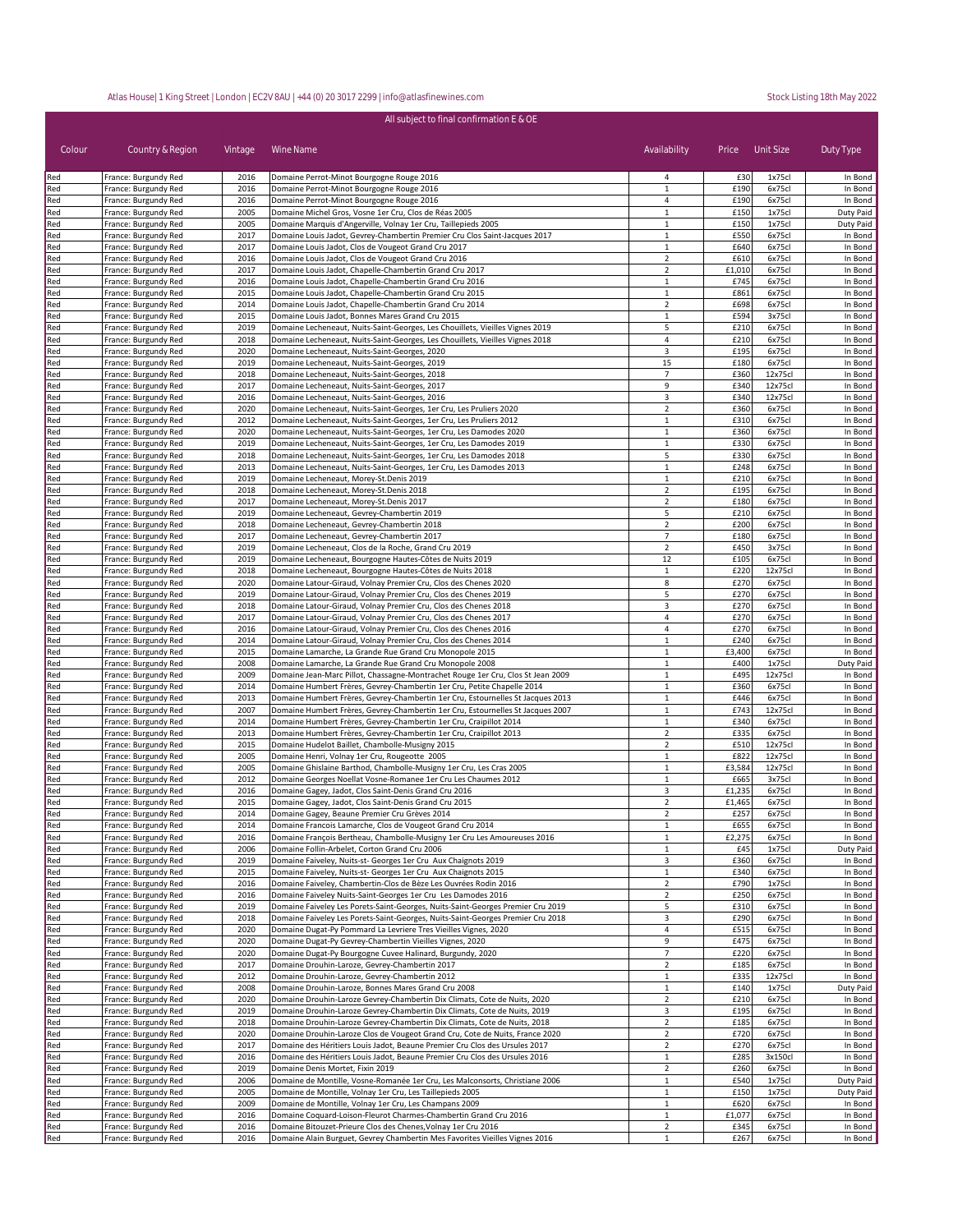| All subject to final confirmation E & OE |                                              |              |                                                                                                                                                                    |                                  |                |                    |                      |
|------------------------------------------|----------------------------------------------|--------------|--------------------------------------------------------------------------------------------------------------------------------------------------------------------|----------------------------------|----------------|--------------------|----------------------|
| Colour                                   | Country & Region                             | Vintage      | Wine Name                                                                                                                                                          | Availability                     |                | Price Unit Size    | Duty Type            |
| Red                                      | France: Burgundy Red                         | 2016         | Domaine Perrot-Minot Bourgogne Rouge 2016                                                                                                                          | 4                                | £30            | 1x75cl             | In Bond              |
| Red                                      | France: Burgundy Red                         | 2016         | Domaine Perrot-Minot Bourgogne Rouge 2016                                                                                                                          | $\mathbf 1$                      | £190           | 6x75cl             | In Bond              |
| Red<br>Red                               | France: Burgundy Red<br>France: Burgundy Red | 2016<br>2005 | Domaine Perrot-Minot Bourgogne Rouge 2016<br>Domaine Michel Gros, Vosne 1er Cru, Clos de Réas 2005                                                                 | 4<br>$\mathbf{1}$                | £190<br>£150   | 6x75cl<br>1x75cl   | In Bond<br>Duty Paid |
| Red                                      | France: Burgundy Red                         | 2005         | Domaine Marquis d'Angerville, Volnay 1er Cru, Taillepieds 2005                                                                                                     | 1                                | £150           | 1x75cl             | Duty Paid            |
| Red                                      | France: Burgundy Red                         | 2017         | Domaine Louis Jadot, Gevrey-Chambertin Premier Cru Clos Saint-Jacques 2017                                                                                         | $\mathbf{1}$                     | £550           | 6x75cl             | In Bond              |
| Red                                      | France: Burgundy Red                         | 2017         | Domaine Louis Jadot, Clos de Vougeot Grand Cru 2017                                                                                                                | 1                                | £640           | 6x75cl             | In Bond              |
| Red                                      | France: Burgundy Red<br>France: Burgundy Red | 2016<br>2017 | Domaine Louis Jadot, Clos de Vougeot Grand Cru 2016<br>Domaine Louis Jadot, Chapelle-Chambertin Grand Cru 2017                                                     | $\overline{2}$<br>$\overline{2}$ | £610<br>£1,010 | 6x75cl<br>6x75cl   | In Bond              |
| Red<br>Red                               | France: Burgundy Red                         | 2016         | Domaine Louis Jadot, Chapelle-Chambertin Grand Cru 2016                                                                                                            | $\mathbf{1}$                     | £745           | 6x75cl             | In Bond<br>In Bond   |
| Red                                      | France: Burgundy Red                         | 2015         | Domaine Louis Jadot, Chapelle-Chambertin Grand Cru 2015                                                                                                            | $\mathbf{1}$                     | £861           | 6x75cl             | In Bond              |
| Red                                      | France: Burgundy Red                         | 2014         | Domaine Louis Jadot, Chapelle-Chambertin Grand Cru 2014                                                                                                            | $\overline{2}$                   | £698           | 6x75cl             | In Bond              |
| Red                                      | France: Burgundy Red                         | 2015         | Domaine Louis Jadot, Bonnes Mares Grand Cru 2015                                                                                                                   | $\mathbf{1}$                     | £594           | 3x75cl             | In Bond              |
| Red<br>Red                               | France: Burgundy Red<br>France: Burgundy Red | 2019<br>2018 | Domaine Lecheneaut, Nuits-Saint-Georges, Les Chouillets, Vieilles Vignes 2019<br>Domaine Lecheneaut, Nuits-Saint-Georges, Les Chouillets, Vieilles Vignes 2018     | 5<br>4                           | £210<br>£210   | 6x75cl<br>6x75cl   | In Bond<br>In Bond   |
| Red                                      | France: Burgundy Red                         | 2020         | Domaine Lecheneaut, Nuits-Saint-Georges, 2020                                                                                                                      | 3                                | £195           | 6x75cl             | In Bond              |
| Red                                      | France: Burgundy Red                         | 2019         | Domaine Lecheneaut, Nuits-Saint-Georges, 2019                                                                                                                      | 15                               | £180           | 6x75cl             | In Bond              |
| Red                                      | France: Burgundy Red                         | 2018         | Domaine Lecheneaut, Nuits-Saint-Georges, 2018                                                                                                                      | $\overline{7}$                   | £360           | 12x75cl            | In Bond              |
| Red                                      | France: Burgundy Red                         | 2017         | Domaine Lecheneaut, Nuits-Saint-Georges, 2017                                                                                                                      | 9                                | £340           | 12x75cl            | In Bond              |
| Red<br>Red                               | France: Burgundy Red<br>France: Burgundy Red | 2016<br>2020 | Domaine Lecheneaut, Nuits-Saint-Georges, 2016<br>Domaine Lecheneaut, Nuits-Saint-Georges, 1er Cru, Les Pruliers 2020                                               | 3<br>$\overline{2}$              | £340<br>£360   | 12x75cl<br>6x75cl  | In Bond<br>In Bond   |
| Red                                      | France: Burgundy Red                         | 2012         | Domaine Lecheneaut, Nuits-Saint-Georges, 1er Cru, Les Pruliers 2012                                                                                                | $\mathbf{1}$                     | £310           | 6x75cl             | In Bond              |
| Red                                      | France: Burgundy Red                         | 2020         | Domaine Lecheneaut, Nuits-Saint-Georges, 1er Cru, Les Damodes 2020                                                                                                 | $\mathbf{1}$                     | £360           | 6x75cl             | In Bond              |
| Red                                      | France: Burgundy Red                         | 2019         | Domaine Lecheneaut, Nuits-Saint-Georges, 1er Cru, Les Damodes 2019                                                                                                 | $\mathbf{1}$                     | £330           | 6x75cl             | In Bond              |
| Red                                      | France: Burgundy Red                         | 2018         | Domaine Lecheneaut, Nuits-Saint-Georges, 1er Cru, Les Damodes 2018                                                                                                 | 5                                | £330           | 6x75cl             | In Bond              |
| Red<br>Red                               | France: Burgundy Red<br>France: Burgundy Red | 2013<br>2019 | Domaine Lecheneaut, Nuits-Saint-Georges, 1er Cru, Les Damodes 2013<br>Domaine Lecheneaut, Morey-St.Denis 2019                                                      | $\mathbf{1}$<br>$\mathbf{1}$     | £248<br>£210   | 6x75cl<br>6x75cl   | In Bond<br>In Bond   |
| Red                                      | France: Burgundy Red                         | 2018         | Domaine Lecheneaut, Morey-St.Denis 2018                                                                                                                            | $\overline{2}$                   | £195           | 6x75cl             | In Bond              |
| Red                                      | France: Burgundy Red                         | 2017         | Domaine Lecheneaut, Morey-St.Denis 2017                                                                                                                            | $\mathbf 2$                      | £180           | 6x75cl             | In Bond              |
| Red                                      | France: Burgundy Red                         | 2019         | Domaine Lecheneaut, Gevrey-Chambertin 2019                                                                                                                         | 5                                | £210           | 6x75cl             | In Bond              |
| Red                                      | France: Burgundy Red                         | 2018         | Domaine Lecheneaut, Gevrey-Chambertin 2018                                                                                                                         | $\overline{2}$                   | £200           | 6x75cl             | In Bond              |
| Red                                      | France: Burgundy Red                         | 2017         | Domaine Lecheneaut, Gevrey-Chambertin 2017<br>Domaine Lecheneaut, Clos de la Roche, Grand Cru 2019                                                                 | 7                                | £180           | 6x75cl             | In Bond              |
| Red<br>Red                               | France: Burgundy Red<br>France: Burgundy Red | 2019<br>2019 | Domaine Lecheneaut, Bourgogne Hautes-Côtes de Nuits 2019                                                                                                           | $\mathbf 2$<br>12                | £450<br>£105   | 3x75cl<br>6x75cl   | In Bond<br>In Bond   |
| Red                                      | France: Burgundy Red                         | 2018         | Domaine Lecheneaut, Bourgogne Hautes-Côtes de Nuits 2018                                                                                                           | $\mathbf{1}$                     | £220           | 12x75cl            | In Bond              |
| Red                                      | France: Burgundy Red                         | 2020         | Domaine Latour-Giraud, Volnay Premier Cru, Clos des Chenes 2020                                                                                                    | 8                                | £270           | 6x75cl             | In Bond              |
| Red                                      | France: Burgundy Red                         | 2019         | Domaine Latour-Giraud, Volnay Premier Cru, Clos des Chenes 2019                                                                                                    | 5                                | £270           | 6x75cl             | In Bond              |
| Red                                      | France: Burgundy Red                         | 2018         | Domaine Latour-Giraud, Volnay Premier Cru, Clos des Chenes 2018                                                                                                    | 3                                | £270           | 6x75cl             | In Bond              |
| Red<br>Red                               | France: Burgundy Red<br>France: Burgundy Red | 2017<br>2016 | Domaine Latour-Giraud, Volnay Premier Cru, Clos des Chenes 2017<br>Domaine Latour-Giraud, Volnay Premier Cru, Clos des Chenes 2016                                 | 4<br>4                           | £270<br>£270   | 6x75cl<br>6x75cl   | In Bond<br>In Bond   |
| Red                                      | France: Burgundy Red                         | 2014         | Domaine Latour-Giraud, Volnay Premier Cru, Clos des Chenes 2014                                                                                                    | $\mathbf{1}$                     | £240           | 6x75cl             | In Bond              |
| Red                                      | France: Burgundy Red                         | 2015         | Domaine Lamarche, La Grande Rue Grand Cru Monopole 2015                                                                                                            | $\mathbf{1}$                     | £3,400         | 6x75cl             | In Bond              |
| Red                                      | France: Burgundy Red                         | 2008         | Domaine Lamarche, La Grande Rue Grand Cru Monopole 2008                                                                                                            | $\mathbf{1}$                     | £400           | 1x75cl             | Duty Paid            |
| Red                                      | France: Burgundy Red                         | 2009         | Domaine Jean-Marc Pillot, Chassagne-Montrachet Rouge 1er Cru, Clos St Jean 2009                                                                                    | $\mathbf{1}$                     | £495           | 12x75cl            | In Bond              |
| Red<br>Red                               | France: Burgundy Red<br>France: Burgundy Red | 2014<br>2013 | Domaine Humbert Frères, Gevrey-Chambertin 1er Cru, Petite Chapelle 2014                                                                                            | $\mathbf{1}$<br>$\mathbf{1}$     | £360<br>£446   | 6x75cl<br>6x75cl   | In Bond<br>In Bond   |
| Red                                      | France: Burgundy Red                         | 2007         | Domaine Humbert Frères, Gevrey-Chambertin 1er Cru, Estournelles St Jacques 2013<br>Domaine Humbert Frères, Gevrey-Chambertin 1er Cru, Estournelles St Jacques 2007 | $\mathbf{1}$                     | £743           | 12x75cl            | In Bond              |
| Red                                      | France: Burgundy Red                         | 2014         | Domaine Humbert Frères, Gevrey-Chambertin 1er Cru, Craipillot 2014                                                                                                 | $\mathbf{1}$                     | £340           | 6x75cl             | In Bond              |
| Red                                      | France: Burgundy Red                         | 2013         | Domaine Humbert Frères, Gevrey-Chambertin 1er Cru, Craipillot 2013                                                                                                 | $\overline{2}$                   | £335           | 6x75cl             | In Bond              |
| Red                                      | France: Burgundy Red                         | 2015         | Domaine Hudelot Baillet, Chambolle-Musigny 2015                                                                                                                    | $\overline{2}$                   | £510           | 12x75cl            | In Bond              |
| Red<br>Red                               | France: Burgundy Red<br>France: Burgundy Red | 2005<br>2005 | Domaine Henri, Volnay 1er Cru, Rougeotte 2005<br>Domaine Ghislaine Barthod, Chambolle-Musigny 1er Cru, Les Cras 2005                                               | $\mathbf{1}$<br>$\mathbf{1}$     | £822<br>£3,584 | 12x75cl<br>12x75cl | In Bond<br>In Bond   |
| Red                                      | France: Burgundy Red                         | 2012         | Domaine Georges Noellat Vosne-Romanee 1er Cru Les Chaumes 2012                                                                                                     | 1                                | £665           | 3x75cl             | In Bond              |
| Red                                      | France: Burgundy Red                         | 2016         | Domaine Gagey, Jadot, Clos Saint-Denis Grand Cru 2016                                                                                                              | 3                                | £1,235         | 6x75cl             | In Bond              |
| Red                                      | France: Burgundy Red                         | 2015         | Domaine Gagey, Jadot, Clos Saint-Denis Grand Cru 2015                                                                                                              | $\overline{2}$                   | £1,465         | 6x75cl             | In Bond              |
| Red                                      | France: Burgundy Red                         | 2014         | Domaine Gagey, Beaune Premier Cru Grèves 2014                                                                                                                      |                                  | £257           | 6x75cl             | In Bond              |
| Red                                      | France: Burgundy Red                         | 2014         | Domaine Francois Lamarche, Clos de Vougeot Grand Cru 2014                                                                                                          | 1                                | £655           | 6x75cl             | In Bond              |
| Red<br>Red                               | France: Burgundy Red<br>France: Burgundy Red | 2016<br>2006 | Domaine François Bertheau, Chambolle-Musigny 1er Cru Les Amoureuses 2016<br>Domaine Follin-Arbelet, Corton Grand Cru 2006                                          | $\mathbf{1}$<br>1                | £2,275<br>£45  | 6x75cl<br>1x75cl   | In Bond<br>Duty Paid |
| Red                                      | France: Burgundy Red                         | 2019         | Domaine Faiveley, Nuits-st- Georges 1er Cru Aux Chaignots 2019                                                                                                     | 3                                | £360           | 6x75cl             | In Bond              |
| Red                                      | France: Burgundy Red                         | 2015         | Domaine Faiveley, Nuits-st- Georges 1er Cru Aux Chaignots 2015                                                                                                     | $\mathbf{1}$                     | £340           | 6x75cl             | In Bond              |
| Red                                      | France: Burgundy Red                         | 2016         | Domaine Faiveley, Chambertin-Clos de Bèze Les Ouvrées Rodin 2016                                                                                                   | $\mathbf 2$                      | £790           | 1x75cl             | In Bond              |
| Red                                      | France: Burgundy Red                         | 2016<br>2019 | Domaine Faiveley Nuits-Saint-Georges 1er Cru Les Damodes 2016                                                                                                      | $\overline{2}$<br>5              | £250           | 6x75cl<br>6x75cl   | In Bond              |
| Red<br>Red                               | France: Burgundy Red<br>France: Burgundy Red | 2018         | Domaine Faiveley Les Porets-Saint-Georges, Nuits-Saint-Georges Premier Cru 2019<br>Domaine Faiveley Les Porets-Saint-Georges, Nuits-Saint-Georges Premier Cru 2018 | 3                                | £310<br>£290   | 6x75cl             | In Bond<br>In Bond   |
| Red                                      | France: Burgundy Red                         | 2020         | Domaine Dugat-Py Pommard La Levriere Tres Vieilles Vignes, 2020                                                                                                    | 4                                | £515           | 6x75cl             | In Bond              |
| Red                                      | France: Burgundy Red                         | 2020         | Domaine Dugat-Py Gevrey-Chambertin Vieilles Vignes, 2020                                                                                                           | 9                                | £475           | 6x75cl             | In Bond              |
| Red                                      | France: Burgundy Red                         | 2020         | Domaine Dugat-Py Bourgogne Cuvee Halinard, Burgundy, 2020                                                                                                          | $\overline{7}$                   | £220           | 6x75cl             | In Bond              |
| Red                                      | France: Burgundy Red                         | 2017         | Domaine Drouhin-Laroze, Gevrey-Chambertin 2017                                                                                                                     | $\overline{2}$                   | £185           | 6x75cl             | In Bond              |
| Red<br>Red                               | France: Burgundy Red<br>France: Burgundy Red | 2012<br>2008 | Domaine Drouhin-Laroze, Gevrey-Chambertin 2012<br>Domaine Drouhin-Laroze, Bonnes Mares Grand Cru 2008                                                              | $\mathbf{1}$<br>$\mathbf{1}$     | £335<br>£140   | 12x75cl<br>1x75cl  | In Bond<br>Duty Paid |
| Red                                      | France: Burgundy Red                         | 2020         | Domaine Drouhin-Laroze Gevrey-Chambertin Dix Climats, Cote de Nuits, 2020                                                                                          | $\overline{2}$                   | £210           | 6x75cl             | In Bond              |
| Red                                      | France: Burgundy Red                         | 2019         | Domaine Drouhin-Laroze Gevrey-Chambertin Dix Climats, Cote de Nuits, 2019                                                                                          | 3                                | £195           | 6x75cl             | In Bond              |
| Red                                      | France: Burgundy Red                         | 2018         | Domaine Drouhin-Laroze Gevrey-Chambertin Dix Climats, Cote de Nuits, 2018                                                                                          | $\overline{2}$                   | £185           | 6x75cl             | In Bond              |
| Red                                      | France: Burgundy Red                         | 2020         | Domaine Drouhin-Laroze Clos de Vougeot Grand Cru, Cote de Nuits, France 2020                                                                                       | $\overline{2}$                   | £720           | 6x75cl             | In Bond              |
| Red                                      | France: Burgundy Red                         | 2017         | Domaine des Héritiers Louis Jadot, Beaune Premier Cru Clos des Ursules 2017                                                                                        | $\overline{2}$                   | £270           | 6x75cl             | In Bond              |
| Red<br>Red                               | France: Burgundy Red<br>France: Burgundy Red | 2016<br>2019 | Domaine des Héritiers Louis Jadot, Beaune Premier Cru Clos des Ursules 2016<br>Domaine Denis Mortet, Fixin 2019                                                    | $\mathbf{1}$<br>$\overline{2}$   | £285<br>£260   | 3x150cl<br>6x75cl  | In Bond<br>In Bond   |
| Red                                      | France: Burgundy Red                         | 2006         | Domaine de Montille, Vosne-Romanée 1er Cru, Les Malconsorts, Christiane 2006                                                                                       | $\mathbf{1}$                     | £540           | 1x75cl             | Duty Paid            |
| Red                                      | France: Burgundy Red                         | 2005         | Domaine de Montille, Volnay 1er Cru, Les Taillepieds 2005                                                                                                          | $\mathbf{1}$                     | £150           | 1x75cl             | Duty Paid            |
| Red                                      | France: Burgundy Red                         | 2009         | Domaine de Montille, Volnay 1er Cru, Les Champans 2009                                                                                                             | $\mathbf{1}$                     | £620           | 6x75cl             | In Bond              |
| Red                                      | France: Burgundy Red                         | 2016         | Domaine Coquard-Loison-Fleurot Charmes-Chambertin Grand Cru 2016                                                                                                   | $\mathbf{1}$                     | £1,077         | 6x75cl             | In Bond              |
| Red<br>Red                               | France: Burgundy Red<br>France: Burgundy Red | 2016<br>2016 | Domaine Bitouzet-Prieure Clos des Chenes, Volnay 1er Cru 2016<br>Domaine Alain Burguet, Gevrey Chambertin Mes Favorites Vieilles Vignes 2016                       | $\overline{2}$<br>$\mathbf{1}$   | £345<br>£267   | 6x75cl<br>6x75cl   | In Bond<br>In Bond   |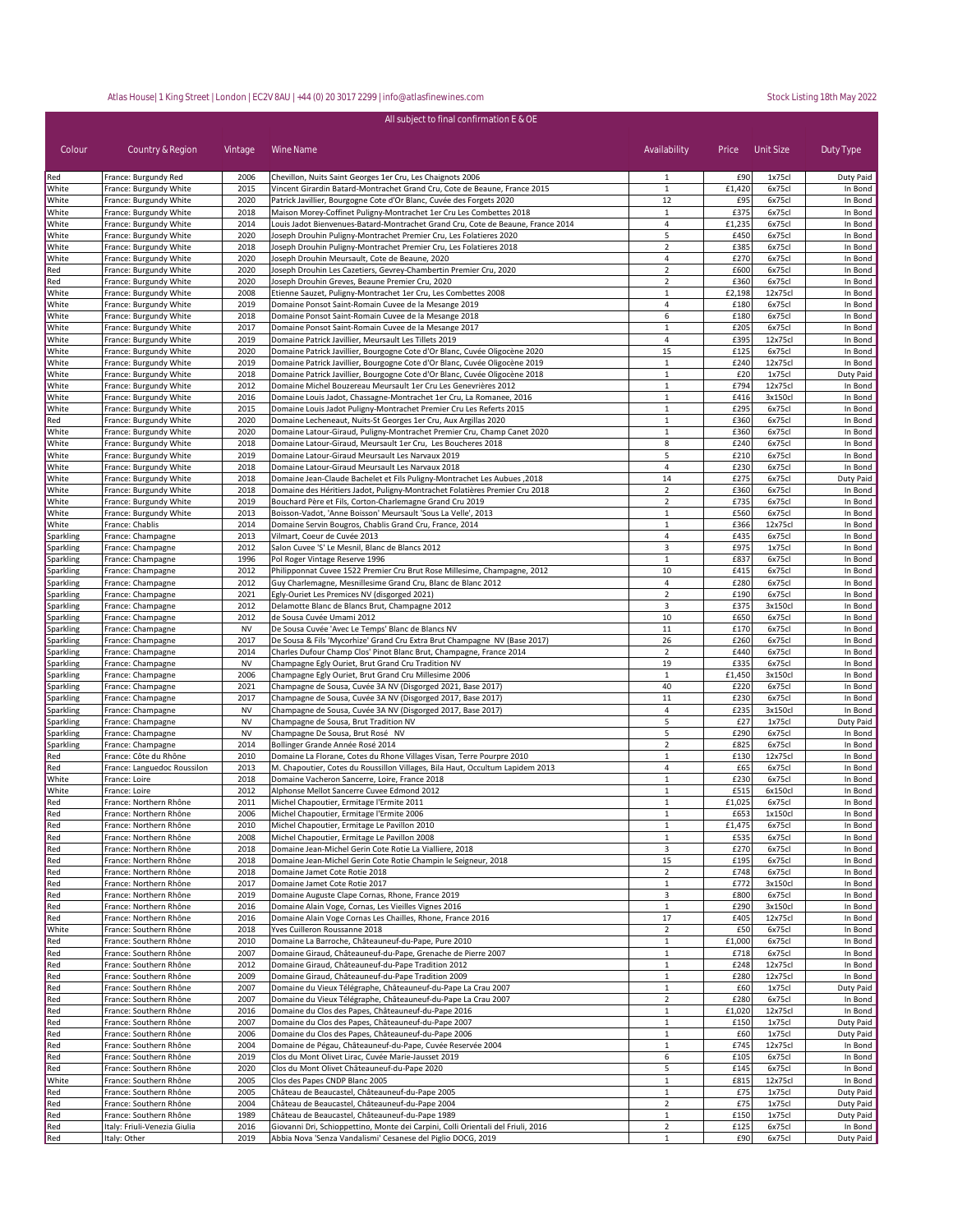| Colour                        | Country & Region                                 | Vintage      | Wine Name                                                                                                                                         | Availability                   | Price         | Unit Size        | Duty Type            |
|-------------------------------|--------------------------------------------------|--------------|---------------------------------------------------------------------------------------------------------------------------------------------------|--------------------------------|---------------|------------------|----------------------|
| Red<br>White                  | France: Burgundy Red                             | 2006<br>2015 | Chevillon, Nuits Saint Georges 1er Cru, Les Chaignots 2006                                                                                        | 1<br>$\mathbf{1}$              | £90<br>£1,420 | 1x75cl<br>6x75cl | Duty Paid<br>In Bond |
| White                         | France: Burgundy White<br>France: Burgundy White | 2020         | Vincent Girardin Batard-Montrachet Grand Cru, Cote de Beaune, France 2015<br>Patrick Javillier, Bourgogne Cote d'Or Blanc, Cuvée des Forgets 2020 | 12                             | £95           | 6x75cl           | In Bond              |
| White                         | France: Burgundy White                           | 2018         | Maison Morey-Coffinet Puligny-Montrachet 1er Cru Les Combettes 2018                                                                               | $\mathbf{1}$                   | £375          | 6x75cl           | In Bond              |
| White                         | France: Burgundy White                           | 2014         | Louis Jadot Bienvenues-Batard-Montrachet Grand Cru, Cote de Beaune, France 2014                                                                   | 4                              | £1,235        | 6x75cl           | In Bond              |
| White                         | France: Burgundy White                           | 2020         | Joseph Drouhin Puligny-Montrachet Premier Cru, Les Folatieres 2020                                                                                | 5                              | £450          | 6x75cl           | In Bond              |
| White                         | France: Burgundy White                           | 2018         | Joseph Drouhin Puligny-Montrachet Premier Cru, Les Folatieres 2018                                                                                | $\overline{2}$                 | £385          | 6x75cl           | In Bond              |
| White                         | France: Burgundy White                           | 2020         | Joseph Drouhin Meursault, Cote de Beaune, 2020                                                                                                    | 4                              | £270          | 6x75cl           | In Bond              |
| Red                           | France: Burgundy White                           | 2020         | Joseph Drouhin Les Cazetiers, Gevrey-Chambertin Premier Cru, 2020                                                                                 | $\overline{2}$                 | £600          | 6x75cl           | In Bond              |
| Red                           | France: Burgundy White                           | 2020         | Joseph Drouhin Greves, Beaune Premier Cru, 2020                                                                                                   | $\overline{2}$                 | £360          | 6x75cl           | In Bond              |
| White                         | France: Burgundy White                           | 2008         | Etienne Sauzet, Puligny-Montrachet 1er Cru, Les Combettes 2008                                                                                    | $\,1\,$                        | £2,198        | 12x75cl          | In Bond              |
| White                         | France: Burgundy White                           | 2019<br>2018 | Domaine Ponsot Saint-Romain Cuvee de la Mesange 2019                                                                                              | $\overline{4}$<br>6            | £180<br>£180  | 6x75cl<br>6x75cl | In Bond              |
| White<br>White                | France: Burgundy White<br>France: Burgundy White | 2017         | Domaine Ponsot Saint-Romain Cuvee de la Mesange 2018<br>Domaine Ponsot Saint-Romain Cuvee de la Mesange 2017                                      | $\mathbf{1}$                   | £205          | 6x75cl           | In Bond<br>In Bond   |
| White                         | France: Burgundy White                           | 2019         | Domaine Patrick Javillier, Meursault Les Tillets 2019                                                                                             | 4                              | £395          | 12x75c           | In Bond              |
| White                         | France: Burgundy White                           | 2020         | Domaine Patrick Javillier, Bourgogne Cote d'Or Blanc, Cuvée Oligocène 2020                                                                        | 15                             | £125          | 6x75cl           | In Bond              |
| White                         | France: Burgundy White                           | 2019         | Domaine Patrick Javillier, Bourgogne Cote d'Or Blanc, Cuvée Oligocène 2019                                                                        | $\mathbf{1}$                   | £240          | 12x75cl          | In Bond              |
| White                         | France: Burgundy White                           | 2018         | Domaine Patrick Javillier, Bourgogne Cote d'Or Blanc, Cuvée Oligocène 2018                                                                        | $\mathbf{1}$                   | £20           | 1x75cl           | Duty Paid            |
| White                         | France: Burgundy White                           | 2012         | Domaine Michel Bouzereau Meursault 1er Cru Les Genevrières 2012                                                                                   | $\mathbf{1}$                   | £794          | 12x75cl          | In Bond              |
| White                         | France: Burgundy White                           | 2016         | Domaine Louis Jadot, Chassagne-Montrachet 1er Cru, La Romanee, 2016                                                                               | $\mathbf{1}$                   | £416          | 3x150cl          | In Bond              |
| White                         | France: Burgundy White                           | 2015         | Domaine Louis Jadot Puligny-Montrachet Premier Cru Les Referts 2015                                                                               | $\mathbf{1}$                   | £295          | 6x75cl           | In Bond              |
| Red                           | France: Burgundy White                           | 2020         | Domaine Lecheneaut, Nuits-St Georges 1er Cru, Aux Argillas 2020                                                                                   | $\mathbf{1}$                   | £360          | 6x75cl           | In Bond              |
| White                         | France: Burgundy White                           | 2020         | Domaine Latour-Giraud, Puligny-Montrachet Premier Cru, Champ Canet 2020                                                                           | $\mathbf{1}$                   | £360          | 6x75cl           | In Bond              |
| White                         | France: Burgundy White                           | 2018         | Domaine Latour-Giraud, Meursault 1er Cru, Les Boucheres 2018                                                                                      | 8                              | £240          | 6x75cl           | In Bond              |
| White                         | France: Burgundy White                           | 2019         | Domaine Latour-Giraud Meursault Les Narvaux 2019                                                                                                  | 5                              | £210          | 6x75cl           | In Bond              |
| White                         | France: Burgundy White                           | 2018         | Domaine Latour-Giraud Meursault Les Narvaux 2018                                                                                                  | 4                              | £230          | 6x75cl           | In Bond              |
| White                         | France: Burgundy White                           | 2018         | Domaine Jean-Claude Bachelet et Fils Puligny-Montrachet Les Aubues, 2018                                                                          | 14                             | £275          | 6x75cl           | Duty Paid            |
| White                         | France: Burgundy White                           | 2018         | Domaine des Héritiers Jadot, Puligny-Montrachet Folatières Premier Cru 2018                                                                       | $\overline{2}$                 | £360          | 6x75cl           | In Bond              |
| White                         | France: Burgundy White                           | 2019         | Bouchard Père et Fils, Corton-Charlemagne Grand Cru 2019                                                                                          | $\overline{2}$                 | £735          | 6x75cl           | In Bond              |
| White                         | France: Burgundy White                           | 2013         | Boisson-Vadot, 'Anne Boisson' Meursault 'Sous La Velle', 2013                                                                                     | $\mathbf 1$                    | £560          | 6x75cl           | In Bond              |
| White                         | France: Chablis                                  | 2014         | Domaine Servin Bougros, Chablis Grand Cru, France, 2014                                                                                           | 1                              | £366          | 12x75cl          | In Bond              |
| Sparkling                     | France: Champagne                                | 2013         | Vilmart, Coeur de Cuvée 2013                                                                                                                      | 4                              | £435          | 6x75cl           | In Bond              |
| Sparkling                     | France: Champagne                                | 2012         | Salon Cuvee 'S' Le Mesnil, Blanc de Blancs 2012                                                                                                   | 3                              | £975          | 1x75cl           | In Bond              |
| Sparkling                     | France: Champagne                                | 1996         | Pol Roger Vintage Reserve 1996                                                                                                                    | $1\,$                          | £83           | 6x75cl           | In Bond              |
| Sparkling                     | France: Champagne                                | 2012         | Philipponnat Cuvee 1522 Premier Cru Brut Rose Millesime, Champagne, 2012                                                                          | 10                             | £415          | 6x75cl           | In Bond              |
| Sparkling                     | France: Champagne                                | 2012         | Guy Charlemagne, Mesnillesime Grand Cru, Blanc de Blanc 2012                                                                                      | $\overline{4}$                 | £280          | 6x75cl           | In Bond              |
| Sparkling                     | France: Champagne                                | 2021         | Egly-Ouriet Les Premices NV (disgorged 2021)                                                                                                      | $\overline{2}$                 | £190          | 6x75cl           | In Bond              |
| Sparkling                     | France: Champagne                                | 2012         | Delamotte Blanc de Blancs Brut, Champagne 2012                                                                                                    | 3                              | £375          | 3x150cl          | In Bond              |
| Sparkling                     | France: Champagne                                | 2012         | de Sousa Cuvée Umami 2012                                                                                                                         | 10                             | £650          | 6x75cl           | In Bond              |
| Sparkling                     | France: Champagne                                | <b>NV</b>    | De Sousa Cuvée 'Avec Le Temps' Blanc de Blancs NV                                                                                                 | 11                             | £170          | 6x75cl           | In Bond              |
| Sparkling                     | France: Champagne                                | 2017         | De Sousa & Fils 'Mycorhize' Grand Cru Extra Brut Champagne NV (Base 2017)                                                                         | 26                             | £260          | 6x75cl           | In Bond              |
| Sparkling                     | France: Champagne                                | 2014         | Charles Dufour Champ Clos' Pinot Blanc Brut, Champagne, France 2014                                                                               | $\overline{2}$                 | £440          | 6x75cl           | In Bond              |
| Sparkling                     | France: Champagne                                | <b>NV</b>    | Champagne Egly Ouriet, Brut Grand Cru Tradition NV                                                                                                | 19                             | £335          | 6x75cl           | In Bond              |
| Sparkling                     | France: Champagne                                | 2006         | Champagne Egly Ouriet, Brut Grand Cru Millesime 2006                                                                                              | $\mathbf{1}$<br>40             | £1,450        | 3x150cl          | In Bond<br>In Bond   |
| <b>Sparkling</b><br>Sparkling | France: Champagne<br>France: Champagne           | 2021<br>2017 | Champagne de Sousa, Cuvée 3A NV (Disgorged 2021, Base 2017)<br>Champagne de Sousa, Cuvée 3A NV (Disgorged 2017, Base 2017)                        | 11                             | £220<br>£230  | 6x75cl<br>6x75cl | In Bond              |
| Sparkling                     | France: Champagne                                | <b>NV</b>    | Champagne de Sousa, Cuvée 3A NV (Disgorged 2017, Base 2017)                                                                                       | 4                              | £235          | 3x150cl          | In Bond              |
| Sparkling                     | France: Champagne                                | <b>NV</b>    | Champagne de Sousa, Brut Tradition NV                                                                                                             | 5                              | £27           | 1x75cl           | Duty Paid            |
| Sparkling                     | France: Champagne                                | <b>NV</b>    | Champagne De Sousa, Brut Rosé NV                                                                                                                  | 5                              | £290          | 6x75cl           | In Bond              |
| Sparkling                     | France: Champagne                                | 2014         | Bollinger Grande Année Rosé 2014                                                                                                                  | $\overline{2}$                 | £825          | 6x75cl           | In Bond              |
| Red                           | France: Côte du Rhône                            | 2010         | Domaine La Florane, Cotes du Rhone Villages Visan, Terre Pourpre 2010                                                                             | $\mathbf{1}$                   | £130          | 12x75cl          | In Bond              |
| Red                           | France: Languedoc Roussilon                      | 2013         | M. Chapoutier, Cotes du Roussillon Villages, Bila Haut, Occultum Lapidem 2013                                                                     | 4                              | £65           | 6x75cl           | In Bond              |
| White                         | France: Loire                                    | 2018         | Domaine Vacheron Sancerre, Loire, France 2018                                                                                                     | $\,1\,$                        | £230          | 6x75cl           | In Bond              |
| White                         | France: Loire                                    | 2012         | Alphonse Mellot Sancerre Cuvee Edmond 2012                                                                                                        | $\mathbf{1}$                   | £515          | 6x150cl          | In Bond              |
| Red                           | France: Northern Rhône                           | 2011         | Michel Chapoutier, Ermitage l'Ermite 2011                                                                                                         | $\mathbf{1}$                   | £1,025        | 6x75cl           | In Bond              |
| Red                           | France: Northern Rhône                           | 2006         | Michel Chapoutier, Ermitage l'Ermite 2006                                                                                                         | 1                              | £653          | 1x150cl          | In Bond              |
| Red                           | France: Northern Rhône                           | 2010         | Michel Chapoutier, Ermitage Le Pavillon 2010                                                                                                      |                                | £1,475        | 6x75cl           | In Bond              |
| Red                           | France: Northern Rhône                           | 2008         | Michel Chapoutier, Ermitage Le Pavillon 2008                                                                                                      | 1                              | £535          | 6x75cl           | In Bond              |
| Red                           | France: Northern Rhône                           | 2018         | Domaine Jean-Michel Gerin Cote Rotie La Vialliere, 2018                                                                                           | 3                              | £270          | 6x75cl           | In Bond              |
| Red                           | France: Northern Rhône                           | 2018         | Domaine Jean-Michel Gerin Cote Rotie Champin le Seigneur, 2018                                                                                    | 15                             | £195          | 6x75cl           | In Bond              |
| Red                           | France: Northern Rhône                           | 2018         | Domaine Jamet Cote Rotie 2018                                                                                                                     | $\overline{2}$                 | £748          | 6x75cl           | In Bond              |
| Red                           | France: Northern Rhône                           | 2017         | Domaine Jamet Cote Rotie 2017                                                                                                                     | $\mathbf{1}$                   | £772          | 3x150cl          | In Bond              |
| Red                           | France: Northern Rhône                           | 2019         | Domaine Auguste Clape Cornas, Rhone, France 2019                                                                                                  | 3                              | £800          | 6x75cl           | In Bond              |
| Red                           | France: Northern Rhône                           | 2016         | Domaine Alain Voge, Cornas, Les Vieilles Vignes 2016                                                                                              | $\mathbf{1}$                   | £290          | 3x150cl          | In Bond              |
| Red                           | France: Northern Rhône                           | 2016         | Domaine Alain Voge Cornas Les Chailles, Rhone, France 2016                                                                                        | 17                             | £405          | 12x75cl          | In Bond              |
| White                         | France: Southern Rhône                           | 2018         | Yves Cuilleron Roussanne 2018                                                                                                                     | $\overline{2}$                 | £50           | 6x75cl           | In Bond              |
| Red                           | France: Southern Rhône                           | 2010         | Domaine La Barroche, Châteauneuf-du-Pape, Pure 2010                                                                                               | $\mathbf{1}$                   | £1,000        | 6x75cl           | In Bond              |
| Red                           | France: Southern Rhône                           | 2007         | Domaine Giraud, Châteauneuf-du-Pape, Grenache de Pierre 2007                                                                                      | $\mathbf{1}$                   | £718          | 6x75cl           | In Bond              |
| Red                           | France: Southern Rhône                           | 2012         | Domaine Giraud, Châteauneuf-du-Pape Tradition 2012                                                                                                | $\mathbf{1}$                   | £248          | 12x75cl          | In Bond              |
| Red                           | France: Southern Rhône                           | 2009         | Domaine Giraud, Châteauneuf-du-Pape Tradition 2009                                                                                                | $\mathbf{1}$                   | £280          | 12x75cl          | In Bond              |
| Red<br>Red                    | France: Southern Rhône<br>France: Southern Rhône | 2007<br>2007 | Domaine du Vieux Télégraphe, Châteauneuf-du-Pape La Crau 2007<br>Domaine du Vieux Télégraphe, Châteauneuf-du-Pape La Crau 2007                    | $\mathbf{1}$<br>$\overline{2}$ | £60<br>£280   | 1x75cl<br>6x75cl | Duty Paid<br>In Bond |
| Red                           | France: Southern Rhône                           | 2016         | Domaine du Clos des Papes, Châteauneuf-du-Pape 2016                                                                                               | $\mathbf{1}$                   | £1,020        | 12x75cl          | In Bond              |
| Red                           | France: Southern Rhône                           | 2007         | Domaine du Clos des Papes, Châteauneuf-du-Pape 2007                                                                                               | $\mathbf{1}$                   | £150          | 1x75cl           | Duty Paid            |
| Red                           | France: Southern Rhône                           | 2006         | Domaine du Clos des Papes, Châteauneuf-du-Pape 2006                                                                                               | $\mathbf{1}$                   | £60           | 1x75cl           | Duty Paid            |
| Red                           | France: Southern Rhône                           | 2004         | Domaine de Pégau, Châteauneuf-du-Pape, Cuvée Reservée 2004                                                                                        | $\mathbf{1}$                   | £745          | 12x75cl          | In Bond              |
| Red                           | France: Southern Rhône                           | 2019         | Clos du Mont Olivet Lirac, Cuvée Marie-Jausset 2019                                                                                               | 6                              | £105          | 6x75cl           | In Bond              |
| Red                           | France: Southern Rhône                           | 2020         | Clos du Mont Olivet Châteauneuf-du-Pape 2020                                                                                                      | 5                              | £145          | 6x75cl           | In Bond              |
| White                         | France: Southern Rhône                           | 2005         | Clos des Papes CNDP Blanc 2005                                                                                                                    | $\mathbf{1}$                   | £815          | 12x75cl          | In Bond              |
| Red                           | France: Southern Rhône                           | 2005         | Château de Beaucastel, Châteauneuf-du-Pape 2005                                                                                                   | $\mathbf{1}$                   | £75           | 1x75cl           | Duty Paid            |
| Red                           | France: Southern Rhône                           | 2004         | Château de Beaucastel, Châteauneuf-du-Pape 2004                                                                                                   | $\overline{2}$                 | £75           | 1x75cl           | Duty Paid            |
| Red                           | France: Southern Rhône                           | 1989         | Château de Beaucastel, Châteauneuf-du-Pape 1989                                                                                                   | $\mathbf{1}$                   | £150          | 1x75cl           | Duty Paid            |
| Red                           | Italy: Friuli-Venezia Giulia                     | 2016         | Giovanni Dri, Schioppettino, Monte dei Carpini, Colli Orientali del Friuli, 2016                                                                  | $\overline{2}$                 | £125          | 6x75cl           | In Bond              |
| Red                           | Italy: Other                                     | 2019         | Abbia Nova 'Senza Vandalismi' Cesanese del Piglio DOCG, 2019                                                                                      | $\mathbf{1}$                   | £90           | 6x75cl           | Duty Paid            |

All subject to final confirmation E & OE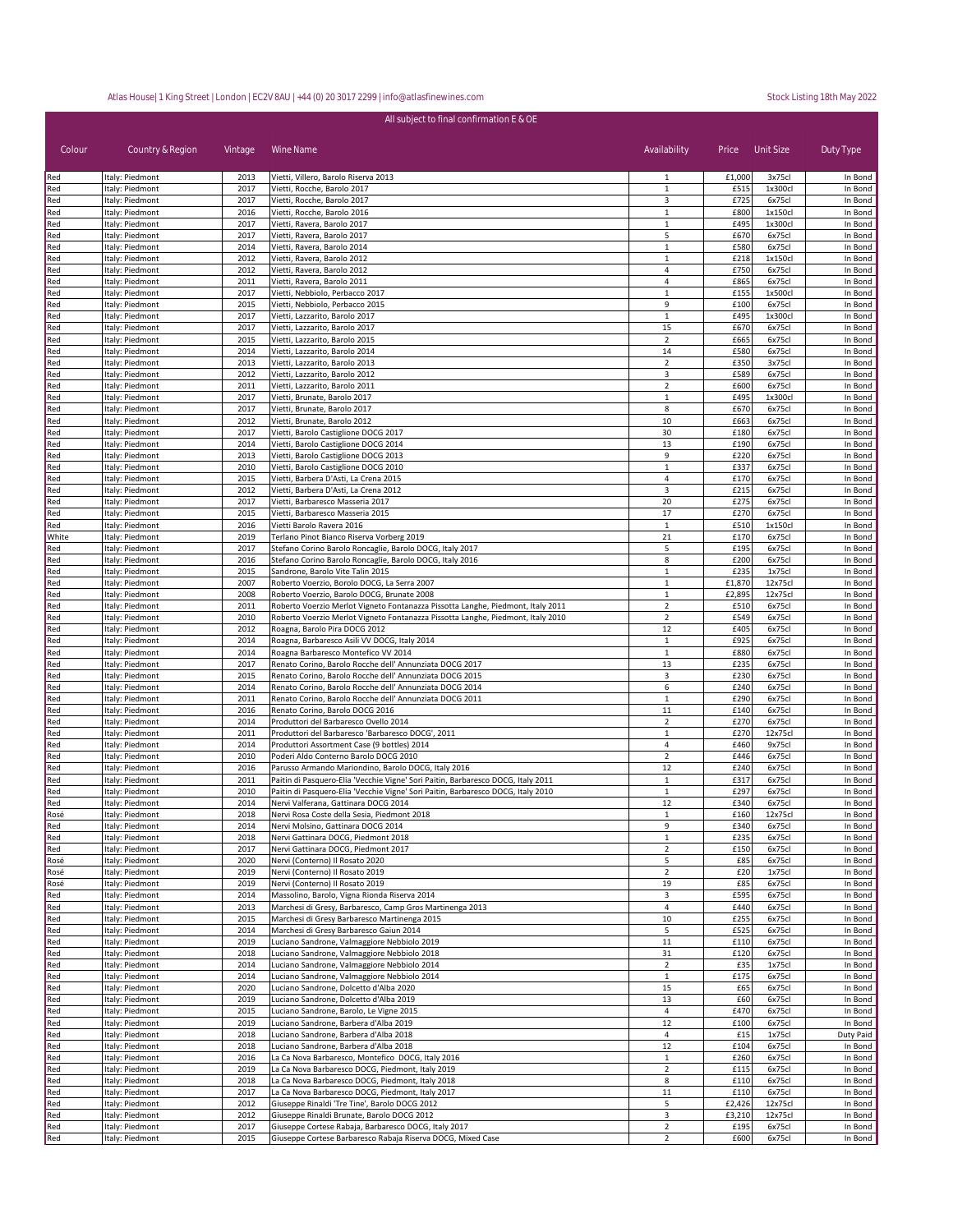| All subject to final confirmation E & OE |                                    |              |                                                                                                                      |                                  |              |                   |                    |  |
|------------------------------------------|------------------------------------|--------------|----------------------------------------------------------------------------------------------------------------------|----------------------------------|--------------|-------------------|--------------------|--|
| Colour                                   | Country & Region                   | Vintage      | Wine Name                                                                                                            | Availability                     | Price        | Unit Size         | Duty Type          |  |
| Red                                      | Italy: Piedmont                    | 2013         | Vietti, Villero, Barolo Riserva 2013                                                                                 | 1                                | £1,000       | 3x75cl            | In Bond            |  |
| Red                                      | Italy: Piedmont                    | 2017         | Vietti, Rocche, Barolo 2017                                                                                          | $\mathbf{1}$                     | £515         | 1x300cl           | In Bond            |  |
| Red<br>Red                               | Italy: Piedmont<br>Italy: Piedmont | 2017<br>2016 | Vietti, Rocche, Barolo 2017<br>Vietti, Rocche, Barolo 2016                                                           | 3<br>$\mathbf{1}$                | £725<br>£800 | 6x75cl<br>1x150cl | In Bond<br>In Bond |  |
| Red                                      | Italy: Piedmont                    | 2017         | Vietti, Ravera, Barolo 2017                                                                                          | $\mathbf{1}$                     | £495         | 1x300cl           | In Bond            |  |
| Red                                      | Italy: Piedmont                    | 2017         | Vietti, Ravera, Barolo 2017                                                                                          | 5                                | £670         | 6x75cl            | In Bond            |  |
| Red                                      | Italy: Piedmont                    | 2014         | Vietti, Ravera, Barolo 2014                                                                                          | $\mathbf{1}$                     | £580         | 6x75cl            | In Bond            |  |
| Red<br>Red                               | Italy: Piedmont<br>Italy: Piedmont | 2012<br>2012 | Vietti, Ravera, Barolo 2012<br>Vietti, Ravera, Barolo 2012                                                           | $\mathbf{1}$<br>4                | £218<br>£750 | 1x150cl<br>6x75cl | In Bond<br>In Bond |  |
| Red                                      | Italy: Piedmont                    | 2011         | Vietti, Ravera, Barolo 2011                                                                                          | $\overline{4}$                   | £865         | 6x75cl            | In Bond            |  |
| Red                                      | Italy: Piedmont                    | 2017         | Vietti, Nebbiolo, Perbacco 2017                                                                                      | $\mathbf{1}$                     | £155         | 1x500cl           | In Bond            |  |
| Red                                      | Italy: Piedmont                    | 2015         | Vietti, Nebbiolo, Perbacco 2015                                                                                      | 9                                | £100         | 6x75cl            | In Bond            |  |
| Red                                      | Italy: Piedmont                    | 2017         | Vietti, Lazzarito, Barolo 2017                                                                                       | 1                                | £495         | 1x300cl           | In Bond            |  |
| Red<br>Red                               | Italy: Piedmont<br>Italy: Piedmont | 2017<br>2015 | Vietti, Lazzarito, Barolo 2017<br>Vietti, Lazzarito, Barolo 2015                                                     | 15<br>$\overline{2}$             | £670<br>£665 | 6x75cl<br>6x75cl  | In Bond<br>In Bond |  |
| Red                                      | Italy: Piedmont                    | 2014         | Vietti, Lazzarito, Barolo 2014                                                                                       | 14                               | £580         | 6x75cl            | In Bond            |  |
| Red                                      | Italy: Piedmont                    | 2013         | Vietti, Lazzarito, Barolo 2013                                                                                       | $\overline{2}$                   | £350         | 3x75cl            | In Bond            |  |
| Red                                      | Italy: Piedmont                    | 2012         | Vietti, Lazzarito, Barolo 2012                                                                                       | 3                                | £589         | 6x75cl            | In Bond            |  |
| Red                                      | Italy: Piedmont                    | 2011         | Vietti, Lazzarito, Barolo 2011                                                                                       | $\overline{2}$                   | £600         | 6x75cl            | In Bond            |  |
| Red<br>Red                               | Italy: Piedmont<br>Italy: Piedmont | 2017<br>2017 | Vietti, Brunate, Barolo 2017<br>Vietti, Brunate, Barolo 2017                                                         | $\mathbf{1}$<br>8                | £495<br>£670 | 1x300cl<br>6x75cl | In Bond<br>In Bond |  |
| Red                                      | Italy: Piedmont                    | 2012         | Vietti, Brunate, Barolo 2012                                                                                         | 10                               | £663         | 6x75cl            | In Bond            |  |
| Red                                      | Italy: Piedmont                    | 2017         | Vietti, Barolo Castiglione DOCG 2017                                                                                 | 30                               | £180         | 6x75cl            | In Bond            |  |
| Red                                      | Italy: Piedmont                    | 2014         | Vietti, Barolo Castiglione DOCG 2014                                                                                 | 13                               | £190         | 6x75cl            | In Bond            |  |
| Red                                      | Italy: Piedmont                    | 2013         | Vietti, Barolo Castiglione DOCG 2013                                                                                 | 9                                | £220         | 6x75cl            | In Bond            |  |
| Red<br>Red                               | Italy: Piedmont<br>Italy: Piedmont | 2010<br>2015 | Vietti, Barolo Castiglione DOCG 2010<br>Vietti, Barbera D'Asti, La Crena 2015                                        | $\mathbf{1}$<br>$\overline{4}$   | £337<br>£170 | 6x75cl<br>6x75cl  | In Bond<br>In Bond |  |
| Red                                      | Italy: Piedmont                    | 2012         | Vietti, Barbera D'Asti, La Crena 2012                                                                                | 3                                | £215         | 6x75cl            | In Bond            |  |
| Red                                      | Italy: Piedmont                    | 2017         | Vietti, Barbaresco Masseria 2017                                                                                     | 20                               | £275         | 6x75cl            | In Bond            |  |
| Red                                      | Italy: Piedmont                    | 2015         | Vietti, Barbaresco Masseria 2015                                                                                     | 17                               | £270         | 6x75cl            | In Bond            |  |
| Red                                      | Italy: Piedmont                    | 2016         | Vietti Barolo Ravera 2016                                                                                            | $\mathbf{1}$                     | £510         | 1x150cl           | In Bond            |  |
| White                                    | Italy: Piedmont                    | 2019         | Terlano Pinot Bianco Riserva Vorberg 2019                                                                            | 21                               | £170         | 6x75cl            | In Bond            |  |
| Red<br>Red                               | Italy: Piedmont<br>Italy: Piedmont | 2017<br>2016 | Stefano Corino Barolo Roncaglie, Barolo DOCG, Italy 2017<br>Stefano Corino Barolo Roncaglie, Barolo DOCG, Italy 2016 | 5<br>8                           | £195<br>£200 | 6x75cl<br>6x75cl  | In Bond<br>In Bond |  |
| Red                                      | Italy: Piedmont                    | 2015         | Sandrone, Barolo Vite Talin 2015                                                                                     | $\mathbf{1}$                     | £235         | 1x75cl            | In Bond            |  |
| Red                                      | Italy: Piedmont                    | 2007         | Roberto Voerzio, Borolo DOCG, La Serra 2007                                                                          | $\mathbf{1}$                     | £1,870       | 12x75cl           | In Bond            |  |
| Red                                      | Italy: Piedmont                    | 2008         | Roberto Voerzio, Barolo DOCG, Brunate 2008                                                                           | $\mathbf 1$                      | £2,895       | 12x75cl           | In Bond            |  |
| Red                                      | Italy: Piedmont                    | 2011         | Roberto Voerzio Merlot Vigneto Fontanazza Pissotta Langhe, Piedmont, Italy 2011                                      | $\overline{2}$                   | £510         | 6x75cl            | In Bond            |  |
| Red<br>Red                               | Italy: Piedmont<br>Italy: Piedmont | 2010<br>2012 | Roberto Voerzio Merlot Vigneto Fontanazza Pissotta Langhe, Piedmont, Italy 2010<br>Roagna, Barolo Pira DOCG 2012     | $\overline{2}$<br>12             | £549<br>£405 | 6x75cl<br>6x75cl  | In Bond<br>In Bond |  |
| Red                                      | Italy: Piedmont                    | 2014         | Roagna, Barbaresco Asili VV DOCG, Italy 2014                                                                         | $\mathbf{1}$                     | £925         | 6x75cl            | In Bond            |  |
| Red                                      | Italy: Piedmont                    | 2014         | Roagna Barbaresco Montefico VV 2014                                                                                  | 1                                | £880         | 6x75cl            | In Bond            |  |
| Red                                      | Italy: Piedmont                    | 2017         | Renato Corino, Barolo Rocche dell' Annunziata DOCG 2017                                                              | 13                               | £235         | 6x75cl            | In Bond            |  |
| Red                                      | Italy: Piedmont                    | 2015         | Renato Corino, Barolo Rocche dell' Annunziata DOCG 2015                                                              | 3                                | £230         | 6x75cl            | In Bond            |  |
| Red                                      | Italy: Piedmont                    | 2014         | Renato Corino, Barolo Rocche dell' Annunziata DOCG 2014                                                              | 6                                | £240         | 6x75cl            | In Bond            |  |
| Red<br>Red                               | Italy: Piedmont<br>Italy: Piedmont | 2011<br>2016 | Renato Corino, Barolo Rocche dell' Annunziata DOCG 2011<br>Renato Corino, Barolo DOCG 2016                           | $\mathbf{1}$<br>$11\,$           | £290<br>£140 | 6x75cl<br>6x75cl  | In Bond<br>In Bond |  |
| Red                                      | Italy: Piedmont                    | 2014         | Produttori del Barbaresco Ovello 2014                                                                                | $\overline{2}$                   | £270         | 6x75cl            | In Bond            |  |
| Red                                      | Italy: Piedmont                    | 2011         | Produttori del Barbaresco 'Barbaresco DOCG', 2011                                                                    | $\mathbf{1}$                     | £270         | 12x75cl           | In Bond            |  |
| Red                                      | Italy: Piedmont                    | 2014         | Produttori Assortment Case (9 bottles) 2014                                                                          | $\overline{4}$                   | £460         | 9x75cl            | In Bond            |  |
| Red                                      | Italy: Piedmont                    | 2010<br>2016 | Poderi Aldo Conterno Barolo DOCG 2010<br>Parusso Armando Mariondino, Barolo DOCG, Italy 2016                         | $\overline{2}$<br>12             | £446<br>£240 | 6x75cl<br>6x75cl  | In Bond<br>In Bond |  |
| Red<br>Red                               | Italy: Piedmont<br>Italy: Piedmont | 2011         | Paitin di Pasquero-Elia 'Vecchie Vigne' Sori Paitin, Barbaresco DOCG, Italy 2011                                     | $\mathbf{1}$                     | £317         | 6x75cl            | In Bond            |  |
| Red                                      | Italy: Piedmont                    | 2010         | Paitin di Pasquero-Elia 'Vecchie Vigne' Sori Paitin, Barbaresco DOCG, Italy 2010                                     | $\mathbf{1}$                     | £297         | 6x75cl            | In Bond            |  |
| Red                                      | Italy: Piedmont                    | 2014         | Nervi Valferana, Gattinara DOCG 2014                                                                                 | 12                               | £340         | 6x75cl            | In Bond            |  |
| Rosé                                     | Italy: Piedmont                    | 2018         | Nervi Rosa Coste della Sesia, Piedmont 2018                                                                          | $\mathbf{1}$                     | £160         | 12x75cl           | In Bond            |  |
| Red                                      | Italy: Piedmont<br>Italy: Piedmont | 2014<br>2018 | Nervi Molsino, Gattinara DOCG 2014                                                                                   | 9<br>$\mathbf{1}$                | £340<br>£235 | 6x75cl<br>6x75cl  | In Bond<br>In Bond |  |
| Red<br>Red                               | Italy: Piedmont                    | 2017         | Nervi Gattinara DOCG, Piedmont 2018<br>Nervi Gattinara DOCG, Piedmont 2017                                           | $\overline{2}$                   | £150         | 6x75cl            | In Bond            |  |
| Rosé                                     | Italy: Piedmont                    | 2020         | Nervi (Conterno) Il Rosato 2020                                                                                      | 5                                | £85          | 6x75cl            | In Bond            |  |
| Rosé                                     | Italy: Piedmont                    | 2019         | Nervi (Conterno) Il Rosato 2019                                                                                      | $\overline{2}$                   | £20          | 1x75cl            | In Bond            |  |
| Rosé                                     | Italy: Piedmont                    | 2019         | Nervi (Conterno) Il Rosato 2019                                                                                      | 19                               | £85          | 6x75cl            | In Bond            |  |
| Red                                      | Italy: Piedmont                    | 2014<br>2013 | Massolino, Barolo, Vigna Rionda Riserva 2014<br>Marchesi di Gresy, Barbaresco, Camp Gros Martinenga 2013             | 3                                | £595<br>£440 | 6x75cl<br>6x75cl  | In Bond<br>In Bond |  |
| Red<br>Red                               | Italy: Piedmont<br>Italy: Piedmont | 2015         | Marchesi di Gresy Barbaresco Martinenga 2015                                                                         | 4<br>10                          | £255         | 6x75cl            | In Bond            |  |
| Red                                      | Italy: Piedmont                    | 2014         | Marchesi di Gresy Barbaresco Gaiun 2014                                                                              | 5                                | £525         | 6x75cl            | In Bond            |  |
| Red                                      | Italy: Piedmont                    | 2019         | Luciano Sandrone, Valmaggiore Nebbiolo 2019                                                                          | 11                               | £110         | 6x75cl            | In Bond            |  |
| Red                                      | Italy: Piedmont                    | 2018         | Luciano Sandrone, Valmaggiore Nebbiolo 2018                                                                          | 31                               | £120         | 6x75cl            | In Bond            |  |
| Red                                      | Italy: Piedmont                    | 2014         | Luciano Sandrone, Valmaggiore Nebbiolo 2014                                                                          | $\overline{2}$                   | £35          | 1x75cl            | In Bond            |  |
| Red<br>Red                               | Italy: Piedmont<br>Italy: Piedmont | 2014<br>2020 | Luciano Sandrone, Valmaggiore Nebbiolo 2014<br>Luciano Sandrone, Dolcetto d'Alba 2020                                | $\mathbf{1}$<br>15               | £175<br>£65  | 6x75cl<br>6x75cl  | In Bond<br>In Bond |  |
| Red                                      | Italy: Piedmont                    | 2019         | Luciano Sandrone, Dolcetto d'Alba 2019                                                                               | 13                               | £60          | 6x75cl            | In Bond            |  |
| Red                                      | Italy: Piedmont                    | 2015         | Luciano Sandrone, Barolo, Le Vigne 2015                                                                              | $\overline{4}$                   | £470         | 6x75cl            | In Bond            |  |
| Red                                      | Italy: Piedmont                    | 2019         | Luciano Sandrone, Barbera d'Alba 2019                                                                                | 12                               | £100         | 6x75cl            | In Bond            |  |
| Red                                      | Italy: Piedmont                    | 2018         | Luciano Sandrone, Barbera d'Alba 2018                                                                                | $\overline{4}$                   | £15          | 1x75cl            | Duty Paid          |  |
| Red                                      | Italy: Piedmont                    | 2018         | Luciano Sandrone, Barbera d'Alba 2018                                                                                | 12                               | £104         | 6x75cl            | In Bond            |  |
| Red<br>Red                               | Italy: Piedmont<br>Italy: Piedmont | 2016<br>2019 | La Ca Nova Barbaresco, Montefico DOCG, Italy 2016<br>La Ca Nova Barbaresco DOCG, Piedmont, Italy 2019                | $\mathbf{1}$<br>$\overline{2}$   | £260<br>£115 | 6x75cl<br>6x75cl  | In Bond<br>In Bond |  |
| Red                                      | Italy: Piedmont                    | 2018         | La Ca Nova Barbaresco DOCG, Piedmont, Italy 2018                                                                     | 8                                | £110         | 6x75cl            | In Bond            |  |
| Red                                      | Italy: Piedmont                    | 2017         | La Ca Nova Barbaresco DOCG, Piedmont, Italy 2017                                                                     | $11\,$                           | £110         | 6x75cl            | In Bond            |  |
| Red                                      | Italy: Piedmont                    | 2012         | Giuseppe Rinaldi 'Tre Tine', Barolo DOCG 2012                                                                        | 5                                | £2,426       | 12x75cl           | In Bond            |  |
| Red                                      | Italy: Piedmont                    | 2012         | Giuseppe Rinaldi Brunate, Barolo DOCG 2012                                                                           | 3                                | £3,210       | 12x75cl           | In Bond            |  |
| Red<br>Red                               | Italy: Piedmont<br>Italy: Piedmont | 2017<br>2015 | Giuseppe Cortese Rabaja, Barbaresco DOCG, Italy 2017<br>Giuseppe Cortese Barbaresco Rabaja Riserva DOCG, Mixed Case  | $\overline{2}$<br>$\overline{2}$ | £195<br>£600 | 6x75cl<br>6x75cl  | In Bond<br>In Bond |  |
|                                          |                                    |              |                                                                                                                      |                                  |              |                   |                    |  |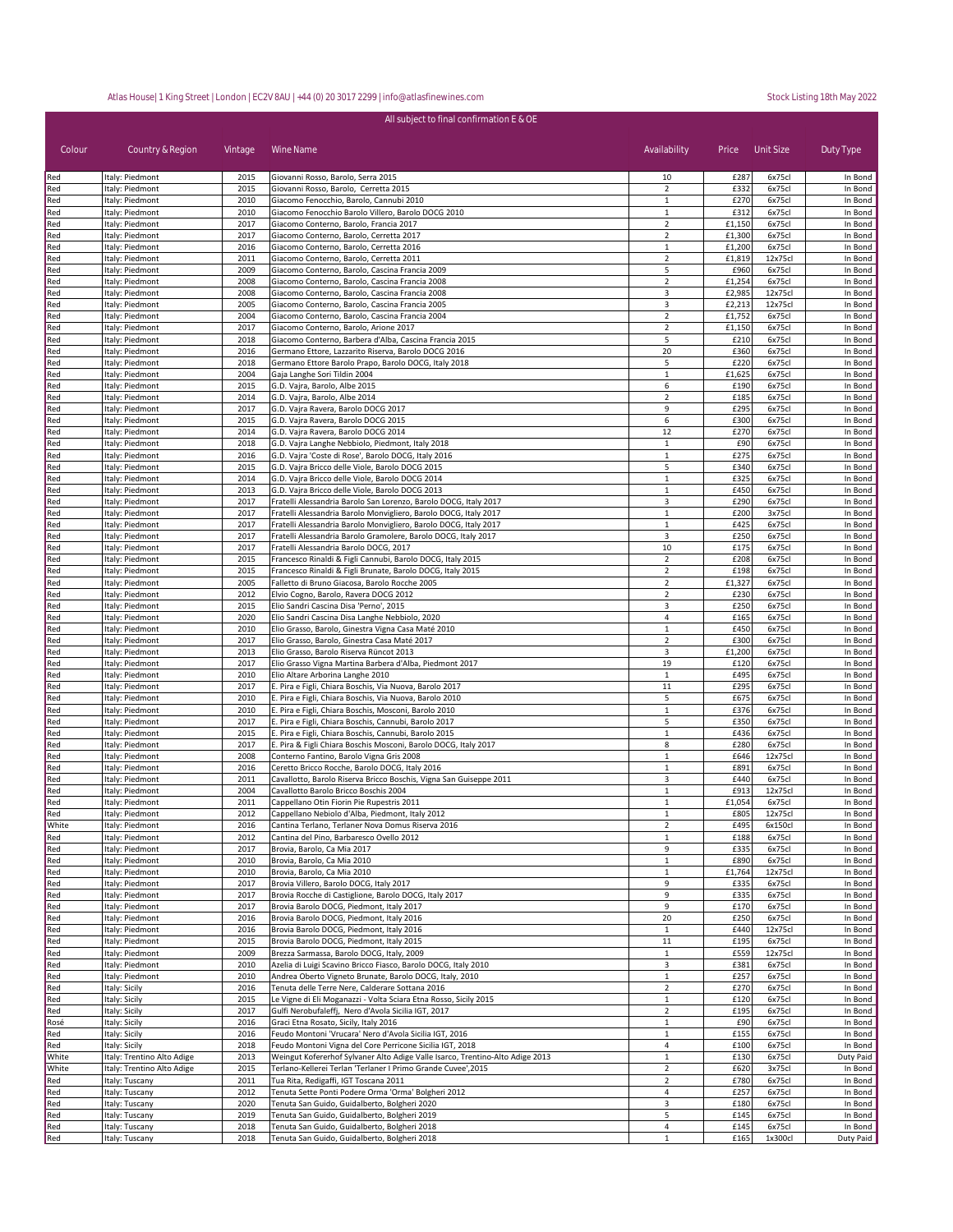| All subject to final confirmation E & OE |                                    |              |                                                                                                                                    |                                  |                |                   |                    |  |
|------------------------------------------|------------------------------------|--------------|------------------------------------------------------------------------------------------------------------------------------------|----------------------------------|----------------|-------------------|--------------------|--|
| Colour                                   | Country & Region                   | Vintage      | Wine Name                                                                                                                          | Availability                     | Price          | Unit Size         | Duty Type          |  |
| Red                                      | Italy: Piedmont                    | 2015         | Giovanni Rosso, Barolo, Serra 2015                                                                                                 | 10                               | £287           | 6x75cl            | In Bond            |  |
| Red                                      | Italy: Piedmont                    | 2015         | Giovanni Rosso, Barolo, Cerretta 2015                                                                                              | $\overline{2}$                   | £332           | 6x75cl            | In Bond            |  |
| Red                                      | Italy: Piedmont                    | 2010         | Giacomo Fenocchio, Barolo, Cannubi 2010                                                                                            | $\mathbf{1}$                     | £270           | 6x75cl            | In Bond            |  |
| Red                                      | Italy: Piedmont                    | 2010         | Giacomo Fenocchio Barolo Villero, Barolo DOCG 2010                                                                                 | 1                                | £312           | 6x75cl            | In Bond            |  |
| Red                                      | Italy: Piedmont                    | 2017         | Giacomo Conterno, Barolo, Francia 2017                                                                                             | $\overline{2}$                   | £1,150         | 6x75cl            | In Bond            |  |
| Red                                      | Italy: Piedmont                    | 2017         | Giacomo Conterno, Barolo, Cerretta 2017                                                                                            | $\overline{2}$                   | £1,300         | 6x75cl            | In Bond            |  |
| Red                                      | Italy: Piedmont                    | 2016         | Giacomo Conterno, Barolo, Cerretta 2016                                                                                            | $\mathbf{1}$                     | £1,200         | 6x75cl            | In Bond            |  |
| Red                                      | Italy: Piedmont<br>Italy: Piedmont | 2011<br>2009 | Giacomo Conterno, Barolo, Cerretta 2011                                                                                            | $\overline{2}$<br>5              | £1,819<br>£960 | 12x75cl<br>6x75cl | In Bond            |  |
| Red<br>Red                               | Italy: Piedmont                    | 2008         | Giacomo Conterno, Barolo, Cascina Francia 2009<br>Giacomo Conterno, Barolo, Cascina Francia 2008                                   | $\overline{2}$                   | £1,254         | 6x75cl            | In Bond<br>In Bond |  |
| Red                                      | Italy: Piedmont                    | 2008         | Giacomo Conterno, Barolo, Cascina Francia 2008                                                                                     | 3                                | £2,985         | 12x75cl           | In Bond            |  |
| Red                                      | Italy: Piedmont                    | 2005         | Giacomo Conterno, Barolo, Cascina Francia 2005                                                                                     | 3                                | £2,213         | 12x75cl           | In Bond            |  |
| Red                                      | Italy: Piedmont                    | 2004         | Giacomo Conterno, Barolo, Cascina Francia 2004                                                                                     | $\overline{2}$                   | £1,752         | 6x75cl            | In Bond            |  |
| Red                                      | Italy: Piedmont                    | 2017         | Giacomo Conterno, Barolo, Arione 2017                                                                                              | $\overline{2}$                   | £1,150         | 6x75cl            | In Bond            |  |
| Red                                      | Italy: Piedmont                    | 2018         | Giacomo Conterno, Barbera d'Alba, Cascina Francia 2015                                                                             | 5                                | £210           | 6x75cl            | In Bond            |  |
| Red                                      | Italy: Piedmont                    | 2016         | Germano Ettore, Lazzarito Riserva, Barolo DOCG 2016                                                                                | 20                               | £360           | 6x75cl            | In Bond            |  |
| Red                                      | Italy: Piedmont                    | 2018         | Germano Ettore Barolo Prapo, Barolo DOCG, Italy 2018                                                                               | 5                                | £220           | 6x75cl            | In Bond            |  |
| Red                                      | Italy: Piedmont                    | 2004         | Gaja Langhe Sori Tildin 2004                                                                                                       | $\mathbf{1}$                     | £1,625         | 6x75cl            | In Bond            |  |
| Red                                      | Italy: Piedmont                    | 2015         | G.D. Vajra, Barolo, Albe 2015                                                                                                      | 6                                | £190           | 6x75cl            | In Bond            |  |
| Red                                      | Italy: Piedmont                    | 2014         | G.D. Vajra, Barolo, Albe 2014                                                                                                      | $\overline{2}$                   | £185           | 6x75cl            | In Bond            |  |
| Red                                      | Italy: Piedmont                    | 2017         | G.D. Vajra Ravera, Barolo DOCG 2017                                                                                                | 9                                | £295           | 6x75cl            | In Bond            |  |
| Red                                      | Italy: Piedmont                    | 2015         | G.D. Vajra Ravera, Barolo DOCG 2015                                                                                                | 6                                | £300           | 6x75cl            | In Bond            |  |
| Red                                      | Italy: Piedmont                    | 2014         | G.D. Vajra Ravera, Barolo DOCG 2014                                                                                                | 12                               | £270           | 6x75cl            | In Bond            |  |
| Red                                      | Italy: Piedmont                    | 2018         | G.D. Vajra Langhe Nebbiolo, Piedmont, Italy 2018                                                                                   | $\mathbf 1$                      | £90            | 6x75cl            | In Bond            |  |
| Red                                      | Italy: Piedmont                    | 2016         | G.D. Vajra 'Coste di Rose', Barolo DOCG, Italy 2016                                                                                | 1                                | £275           | 6x75cl            | In Bond            |  |
| Red                                      | Italy: Piedmont                    | 2015         | G.D. Vajra Bricco delle Viole, Barolo DOCG 2015                                                                                    | 5                                | £340           | 6x75cl            | In Bond            |  |
| Red                                      | Italy: Piedmont                    | 2014         | G.D. Vajra Bricco delle Viole, Barolo DOCG 2014                                                                                    | $\mathbf{1}$                     | £325           | 6x75cl            | In Bond            |  |
| Red                                      | Italy: Piedmont                    | 2013         | G.D. Vajra Bricco delle Viole, Barolo DOCG 2013                                                                                    | $\mathbf{1}$                     | £450           | 6x75cl            | In Bond            |  |
| Red                                      | Italy: Piedmont                    | 2017         | Fratelli Alessandria Barolo San Lorenzo, Barolo DOCG, Italy 2017                                                                   | 3                                | £290           | 6x75cl            | In Bond            |  |
| Red                                      | Italy: Piedmont                    | 2017         | Fratelli Alessandria Barolo Monvigliero, Barolo DOCG, Italy 2017                                                                   | $\mathbf 1$                      | £200           | 3x75cl            | In Bond            |  |
| Red                                      | Italy: Piedmont                    | 2017<br>2017 | Fratelli Alessandria Barolo Monvigliero, Barolo DOCG, Italy 2017<br>Fratelli Alessandria Barolo Gramolere, Barolo DOCG, Italy 2017 | $\mathbf{1}$<br>3                | £425           | 6x75cl            | In Bond            |  |
| Red<br>Red                               | Italy: Piedmont<br>Italy: Piedmont | 2017         | Fratelli Alessandria Barolo DOCG, 2017                                                                                             | 10                               | £250<br>£175   | 6x75cl<br>6x75cl  | In Bond<br>In Bond |  |
| Red                                      | Italy: Piedmont                    | 2015         | Francesco Rinaldi & Figli Cannubi, Barolo DOCG, Italy 2015                                                                         | $\overline{2}$                   | £208           | 6x75cl            | In Bond            |  |
| Red                                      | Italy: Piedmont                    | 2015         | Francesco Rinaldi & Figli Brunate, Barolo DOCG, Italy 2015                                                                         | $\overline{2}$                   | £198           | 6x75cl            | In Bond            |  |
| Red                                      | Italy: Piedmont                    | 2005         | Falletto di Bruno Giacosa, Barolo Rocche 2005                                                                                      | $\overline{2}$                   | £1,327         | 6x75cl            | In Bond            |  |
| Red                                      | Italy: Piedmont                    | 2012         | Elvio Cogno, Barolo, Ravera DOCG 2012                                                                                              | $\overline{2}$                   | £230           | 6x75cl            | In Bond            |  |
| Red                                      | Italy: Piedmont                    | 2015         | Elio Sandri Cascina Disa 'Perno', 2015                                                                                             | 3                                | £250           | 6x75cl            | In Bond            |  |
| Red                                      | Italy: Piedmont                    | 2020         | Elio Sandri Cascina Disa Langhe Nebbiolo, 2020                                                                                     | 4                                | £165           | 6x75cl            | In Bond            |  |
| Red                                      | Italy: Piedmont                    | 2010         | Elio Grasso, Barolo, Ginestra Vigna Casa Maté 2010                                                                                 | $\mathbf{1}$                     | £450           | 6x75cl            | In Bond            |  |
| Red                                      | Italy: Piedmont                    | 2017         | Elio Grasso, Barolo, Ginestra Casa Maté 2017                                                                                       | $\overline{2}$                   | £300           | 6x75cl            | In Bond            |  |
| Red                                      | Italy: Piedmont                    | 2013         | Elio Grasso, Barolo Riserva Rüncot 2013                                                                                            | 3                                | £1,200         | 6x75cl            | In Bond            |  |
| Red                                      | Italy: Piedmont                    | 2017         | Elio Grasso Vigna Martina Barbera d'Alba, Piedmont 2017                                                                            | 19                               | £120           | 6x75cl            | In Bond            |  |
| Red                                      | Italy: Piedmont                    | 2010         | Elio Altare Arborina Langhe 2010                                                                                                   | $\mathbf{1}$                     | £495           | 6x75cl            | In Bond            |  |
| Red                                      | Italy: Piedmont                    | 2017         | E. Pira e Figli, Chiara Boschis, Via Nuova, Barolo 2017                                                                            | 11                               | £295           | 6x75cl            | In Bond            |  |
| Red                                      | Italy: Piedmont                    | 2010         | E. Pira e Figli, Chiara Boschis, Via Nuova, Barolo 2010                                                                            | 5                                | £675           | 6x75cl            | In Bond            |  |
| Red                                      | Italy: Piedmont                    | 2010         | E. Pira e Figli, Chiara Boschis, Mosconi, Barolo 2010                                                                              | $\mathbf 1$                      | £376           | 6x75cl            | In Bond            |  |
| Red                                      | Italy: Piedmont                    | 2017         | E. Pira e Figli, Chiara Boschis, Cannubi, Barolo 2017                                                                              | 5                                | £350           | 6x75cl            | In Bond            |  |
| Red                                      | Italy: Piedmont                    | 2015         | E. Pira e Figli, Chiara Boschis, Cannubi, Barolo 2015                                                                              | $\mathbf{1}$                     | £436           | 6x75cl            | In Bond            |  |
| Red                                      | Italy: Piedmont                    | 2017         | E. Pira & Figli Chiara Boschis Mosconi, Barolo DOCG, Italy 2017                                                                    | 8                                | £280           | 6x75cl            | In Bond            |  |
| Red                                      | Italy: Piedmont                    | 2008         | Conterno Fantino, Barolo Vigna Gris 2008                                                                                           | $\mathbf{1}$                     | £646           | 12x75cl           | In Bond            |  |
| Red                                      | Italy: Piedmont                    | 2016         | Ceretto Bricco Rocche, Barolo DOCG, Italy 2016                                                                                     | 1                                | £891           | 6x75cl            | In Bond            |  |
| Red                                      | Italy: Piedmont                    | 2011         | Cavallotto, Barolo Riserva Bricco Boschis, Vigna San Guiseppe 2011                                                                 | 3                                | £440<br>£913   | 6x75cl<br>12x75cl | In Bond            |  |
| Red<br>Red                               | Italy: Piedmont                    | 2004<br>2011 | Cavallotto Barolo Bricco Boschis 2004<br>Cappellano Otin Fiorin Pie Rupestris 2011                                                 | $1\,$<br>$1\,$                   | £1,054         | 6x75cl            | In Bond<br>In Bond |  |
| Red                                      | Italy: Piedmont<br>Italy: Piedmont | 2012         | Cappellano Nebiolo d'Alba, Piedmont, Italy 2012                                                                                    | 1                                | £805           | 12x75cl           | In Bond            |  |
| White                                    | Italy: Piedmont                    | 2016         | Cantina Terlano, Terlaner Nova Domus Riserva 2016                                                                                  | $\overline{2}$                   | £495           | 6x150cl           | In Bond            |  |
| Red                                      | Italy: Piedmont                    | 2012         | Cantina del Pino, Barbaresco Ovello 2012                                                                                           | 1                                | £188           | 6x75cl            | In Bond            |  |
| Red                                      | Italy: Piedmont                    | 2017         | Brovia, Barolo, Ca Mia 2017                                                                                                        | 9                                | £335           | 6x75cl            | In Bond            |  |
| Red                                      | Italy: Piedmont                    | 2010         | Brovia, Barolo, Ca Mia 2010                                                                                                        | $\mathbf{1}$                     | £890           | 6x75cl            | In Bond            |  |
| Red                                      | Italy: Piedmont                    | 2010         | Brovia, Barolo, Ca Mia 2010                                                                                                        | $\mathbf{1}$                     | £1,764         | 12x75cl           | In Bond            |  |
| Red                                      | Italy: Piedmont                    | 2017         | Brovia Villero, Barolo DOCG, Italy 2017                                                                                            | 9                                | £335           | 6x75cl            | In Bond            |  |
| Red                                      | Italy: Piedmont                    | 2017         | Brovia Rocche di Castiglione, Barolo DOCG, Italy 2017                                                                              | 9                                | £335           | 6x75cl            | In Bond            |  |
| Red                                      | Italy: Piedmont                    | 2017         | Brovia Barolo DOCG, Piedmont, Italy 2017                                                                                           | 9                                | £170           | 6x75cl            | In Bond            |  |
| Red                                      | Italy: Piedmont                    | 2016         | Brovia Barolo DOCG, Piedmont, Italy 2016                                                                                           | 20                               | £250           | 6x75cl            | In Bond            |  |
| Red                                      | Italy: Piedmont                    | 2016         | Brovia Barolo DOCG, Piedmont, Italy 2016                                                                                           | $\mathbf{1}$                     | £440           | 12x75cl           | In Bond            |  |
| Red                                      | Italy: Piedmont                    | 2015         | Brovia Barolo DOCG, Piedmont, Italy 2015                                                                                           | 11                               | £195           | 6x75cl            | In Bond            |  |
| Red                                      | Italy: Piedmont                    | 2009         | Brezza Sarmassa, Barolo DOCG, Italy, 2009                                                                                          | $\mathbf{1}$                     | £559           | 12x75cl           | In Bond            |  |
| Red                                      | Italy: Piedmont                    | 2010         | Azelia di Luigi Scavino Bricco Fiasco, Barolo DOCG, Italy 2010                                                                     | 3                                | £381           | 6x75cl            | In Bond            |  |
| Red                                      | Italy: Piedmont                    | 2010         | Andrea Oberto Vigneto Brunate, Barolo DOCG, Italy, 2010                                                                            | $\mathbf{1}$                     | £257           | 6x75cl            | In Bond            |  |
| Red                                      | Italy: Sicily                      | 2016         | Tenuta delle Terre Nere, Calderare Sottana 2016                                                                                    | $\overline{2}$                   | £270           | 6x75cl            | In Bond            |  |
| Red                                      | Italy: Sicily                      | 2015         | Le Vigne di Eli Moganazzi - Volta Sciara Etna Rosso, Sicily 2015                                                                   | $\mathbf{1}$                     | £120           | 6x75cl            | In Bond            |  |
| Red                                      | Italy: Sicily                      | 2017         | Gulfi Nerobufaleffj, Nero d'Avola Sicilia IGT, 2017                                                                                | $\overline{2}$                   | £195           | 6x75cl            | In Bond            |  |
| Rosé                                     | Italy: Sicily                      | 2016         | Graci Etna Rosato, Sicily, Italy 2016                                                                                              | $\mathbf{1}$                     | £90            | 6x75cl            | In Bond            |  |
| Red                                      | Italy: Sicily                      | 2016         | Feudo Montoni 'Vrucara' Nero d'Avola Sicilia IGT, 2016                                                                             | $\mathbf{1}$                     | £155           | 6x75cl            | In Bond            |  |
| Red                                      | Italy: Sicily                      | 2018         | Feudo Montoni Vigna del Core Perricone Sicilia IGT, 2018                                                                           | 4                                | £100           | 6x75cl            | In Bond            |  |
| White                                    | Italy: Trentino Alto Adige         | 2013         | Weingut Kofererhof Sylvaner Alto Adige Valle Isarco, Trentino-Alto Adige 2013                                                      | $\mathbf{1}$                     | £130           | 6x75cl            | Duty Paid          |  |
| White                                    | Italy: Trentino Alto Adige         | 2015         | Terlano-Kellerei Terlan 'Terlaner I Primo Grande Cuvee', 2015                                                                      | $\overline{2}$                   | £620           | 3x75cl            | In Bond            |  |
| Red                                      | Italy: Tuscany                     | 2011         | Tua Rita, Redigaffi, IGT Toscana 2011                                                                                              | $\overline{2}$<br>$\overline{a}$ | £780<br>£257   | 6x75cl            | In Bond            |  |
| Red                                      | Italy: Tuscany                     | 2012<br>2020 | Tenuta Sette Ponti Podere Orma 'Orma' Bolgheri 2012<br>Tenuta San Guido, Guidalberto, Bolgheri 2020                                | 3                                | £180           | 6x75cl<br>6x75cl  | In Bond<br>In Bond |  |
| Red<br>Red                               | Italy: Tuscany<br>Italy: Tuscany   | 2019         | Tenuta San Guido, Guidalberto, Bolgheri 2019                                                                                       | 5                                | £145           | 6x75cl            | In Bond            |  |
| Red                                      | Italy: Tuscany                     | 2018         | Tenuta San Guido, Guidalberto, Bolgheri 2018                                                                                       | $\sqrt{4}$                       | £145           | 6x75cl            | In Bond            |  |
| Red                                      | Italy: Tuscany                     | 2018         | Tenuta San Guido, Guidalberto, Bolgheri 2018                                                                                       | $\mathbf{1}$                     | £165           | 1x300cl           | Duty Paid          |  |